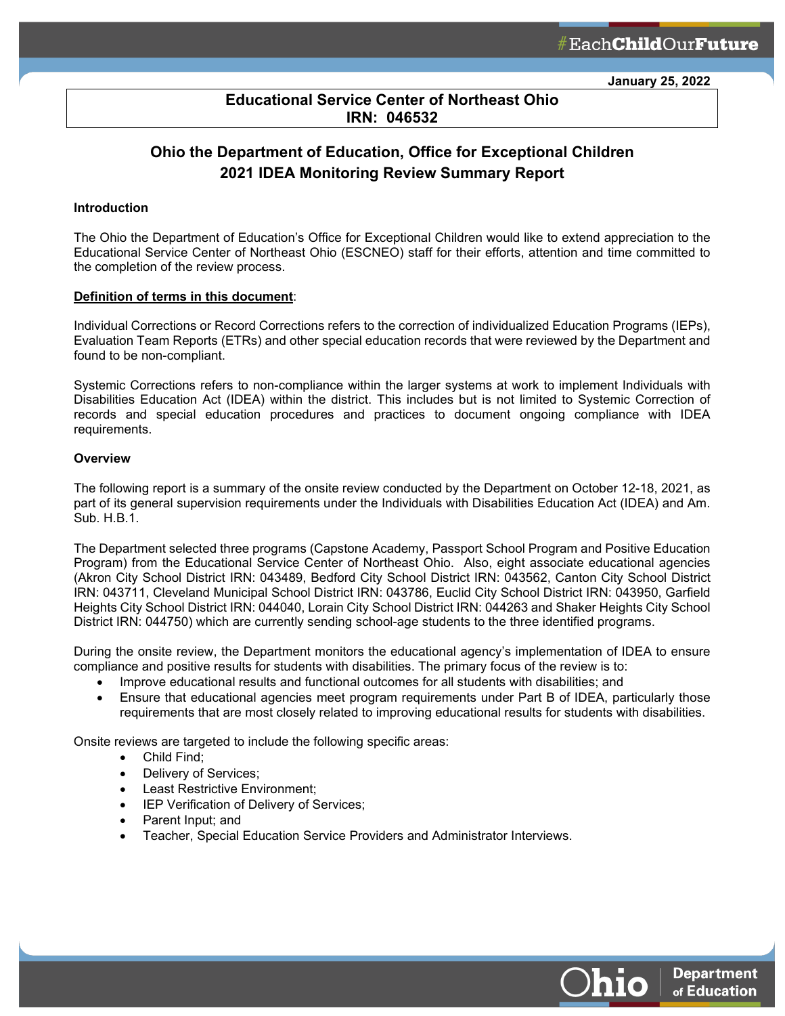**January 25, 2022**

# **Educational Service Center of Northeast Ohio IRN: 046532**

ł

# **Ohio the Department of Education, Office for Exceptional Children 2021 IDEA Monitoring Review Summary Report**

#### **Introduction**

The Ohio the Department of Education's Office for Exceptional Children would like to extend appreciation to the Educational Service Center of Northeast Ohio (ESCNEO) staff for their efforts, attention and time committed to the completion of the review process.

#### **Definition of terms in this document**:

Individual Corrections or Record Corrections refers to the correction of individualized Education Programs (IEPs), Evaluation Team Reports (ETRs) and other special education records that were reviewed by the Department and found to be non-compliant.

Systemic Corrections refers to non-compliance within the larger systems at work to implement Individuals with Disabilities Education Act (IDEA) within the district. This includes but is not limited to Systemic Correction of records and special education procedures and practices to document ongoing compliance with IDEA requirements.

#### **Overview**

The following report is a summary of the onsite review conducted by the Department on October 12-18, 2021, as part of its general supervision requirements under the Individuals with Disabilities Education Act (IDEA) and Am. Sub. H.B.1.

The Department selected three programs (Capstone Academy, Passport School Program and Positive Education Program) from the Educational Service Center of Northeast Ohio. Also, eight associate educational agencies (Akron City School District IRN: 043489, Bedford City School District IRN: 043562, Canton City School District IRN: 043711, Cleveland Municipal School District IRN: 043786, Euclid City School District IRN: 043950, Garfield Heights City School District IRN: 044040, Lorain City School District IRN: 044263 and Shaker Heights City School District IRN: 044750) which are currently sending school-age students to the three identified programs.

During the onsite review, the Department monitors the educational agency's implementation of IDEA to ensure compliance and positive results for students with disabilities. The primary focus of the review is to:

- Improve educational results and functional outcomes for all students with disabilities; and
- Ensure that educational agencies meet program requirements under Part B of IDEA, particularly those requirements that are most closely related to improving educational results for students with disabilities.

Onsite reviews are targeted to include the following specific areas:

- Child Find;
	- Delivery of Services;
	- Least Restrictive Environment;
	- IEP Verification of Delivery of Services;
	- Parent Input; and
	- Teacher, Special Education Service Providers and Administrator Interviews.



**Department** 

of Education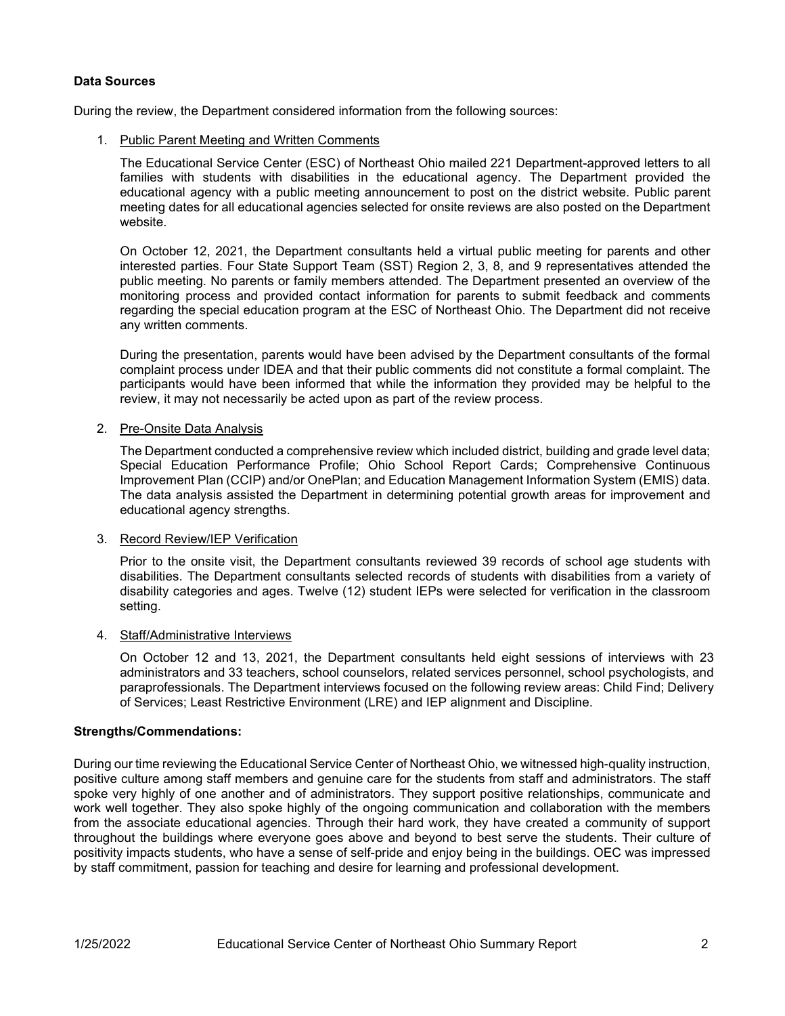# **Data Sources**

During the review, the Department considered information from the following sources:

1. Public Parent Meeting and Written Comments

The Educational Service Center (ESC) of Northeast Ohio mailed 221 Department-approved letters to all families with students with disabilities in the educational agency. The Department provided the educational agency with a public meeting announcement to post on the district website. Public parent meeting dates for all educational agencies selected for onsite reviews are also posted on the Department website.

On October 12, 2021, the Department consultants held a virtual public meeting for parents and other interested parties. Four State Support Team (SST) Region 2, 3, 8, and 9 representatives attended the public meeting. No parents or family members attended. The Department presented an overview of the monitoring process and provided contact information for parents to submit feedback and comments regarding the special education program at the ESC of Northeast Ohio. The Department did not receive any written comments.

During the presentation, parents would have been advised by the Department consultants of the formal complaint process under IDEA and that their public comments did not constitute a formal complaint. The participants would have been informed that while the information they provided may be helpful to the review, it may not necessarily be acted upon as part of the review process.

## 2. Pre-Onsite Data Analysis

The Department conducted a comprehensive review which included district, building and grade level data; Special Education Performance Profile; Ohio School Report Cards; Comprehensive Continuous Improvement Plan (CCIP) and/or OnePlan; and Education Management Information System (EMIS) data. The data analysis assisted the Department in determining potential growth areas for improvement and educational agency strengths.

## 3. Record Review/IEP Verification

Prior to the onsite visit, the Department consultants reviewed 39 records of school age students with disabilities. The Department consultants selected records of students with disabilities from a variety of disability categories and ages. Twelve (12) student IEPs were selected for verification in the classroom setting.

# 4. Staff/Administrative Interviews

On October 12 and 13, 2021, the Department consultants held eight sessions of interviews with 23 administrators and 33 teachers, school counselors, related services personnel, school psychologists, and paraprofessionals. The Department interviews focused on the following review areas: Child Find; Delivery of Services; Least Restrictive Environment (LRE) and IEP alignment and Discipline.

## **Strengths/Commendations:**

During our time reviewing the Educational Service Center of Northeast Ohio, we witnessed high-quality instruction, positive culture among staff members and genuine care for the students from staff and administrators. The staff spoke very highly of one another and of administrators. They support positive relationships, communicate and work well together. They also spoke highly of the ongoing communication and collaboration with the members from the associate educational agencies. Through their hard work, they have created a community of support throughout the buildings where everyone goes above and beyond to best serve the students. Their culture of positivity impacts students, who have a sense of self-pride and enjoy being in the buildings. OEC was impressed by staff commitment, passion for teaching and desire for learning and professional development.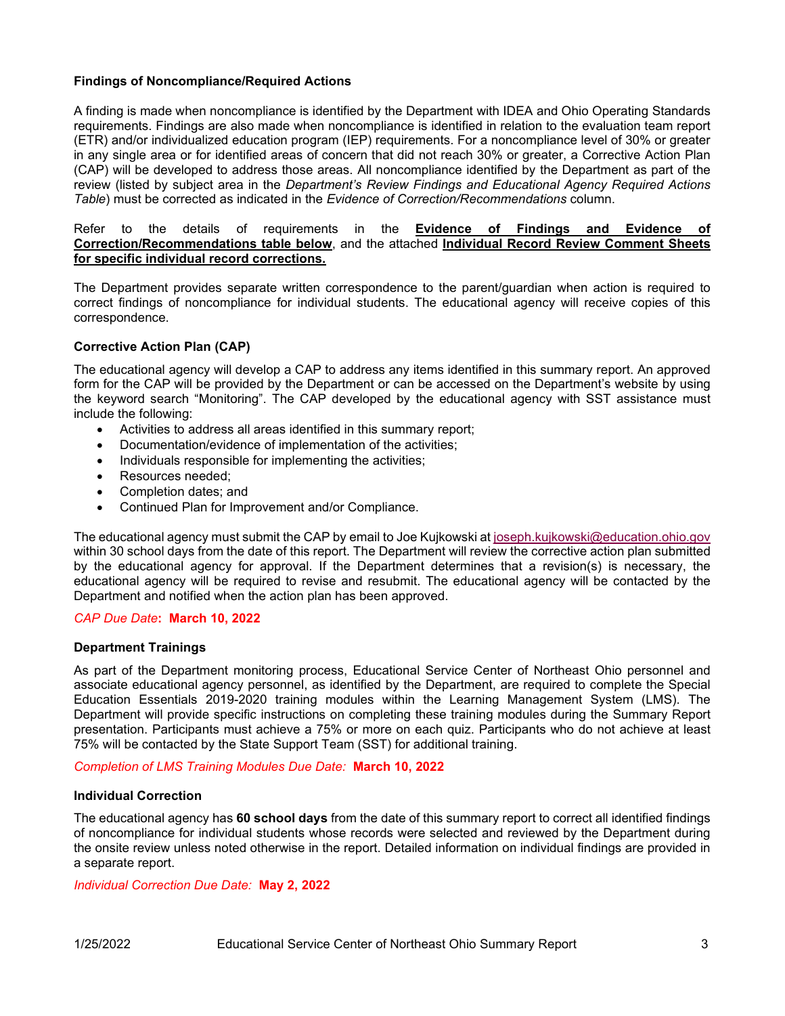# **Findings of Noncompliance/Required Actions**

A finding is made when noncompliance is identified by the Department with IDEA and Ohio Operating Standards requirements. Findings are also made when noncompliance is identified in relation to the evaluation team report (ETR) and/or individualized education program (IEP) requirements. For a noncompliance level of 30% or greater in any single area or for identified areas of concern that did not reach 30% or greater, a Corrective Action Plan (CAP) will be developed to address those areas. All noncompliance identified by the Department as part of the review (listed by subject area in the *Department's Review Findings and Educational Agency Required Actions Table*) must be corrected as indicated in the *Evidence of Correction/Recommendations* column.

Refer to the details of requirements in the **Evidence of Findings and Evidence of Correction/Recommendations table below**, and the attached **Individual Record Review Comment Sheets for specific individual record corrections.**

The Department provides separate written correspondence to the parent/guardian when action is required to correct findings of noncompliance for individual students. The educational agency will receive copies of this correspondence.

# **Corrective Action Plan (CAP)**

The educational agency will develop a CAP to address any items identified in this summary report. An approved form for the CAP will be provided by the Department or can be accessed on the Department's website by using the keyword search "Monitoring". The CAP developed by the educational agency with SST assistance must include the following:

- Activities to address all areas identified in this summary report;
- Documentation/evidence of implementation of the activities;
- Individuals responsible for implementing the activities:
- Resources needed;
- Completion dates; and
- Continued Plan for Improvement and/or Compliance.

The educational agency must submit the CAP by email to Joe Kujkowski at [joseph.kujkowski@education.ohio.gov](mailto:joseph.kujkowski@education.ohio.gov) within 30 school days from the date of this report. The Department will review the corrective action plan submitted by the educational agency for approval. If the Department determines that a revision(s) is necessary, the educational agency will be required to revise and resubmit. The educational agency will be contacted by the Department and notified when the action plan has been approved.

## *CAP Due Date***: March 10, 2022**

## **Department Trainings**

As part of the Department monitoring process, Educational Service Center of Northeast Ohio personnel and associate educational agency personnel, as identified by the Department, are required to complete the Special Education Essentials 2019-2020 training modules within the Learning Management System (LMS). The Department will provide specific instructions on completing these training modules during the Summary Report presentation. Participants must achieve a 75% or more on each quiz. Participants who do not achieve at least 75% will be contacted by the State Support Team (SST) for additional training.

*Completion of LMS Training Modules Due Date:* **March 10, 2022**

## **Individual Correction**

The educational agency has **60 school days** from the date of this summary report to correct all identified findings of noncompliance for individual students whose records were selected and reviewed by the Department during the onsite review unless noted otherwise in the report. Detailed information on individual findings are provided in a separate report.

*Individual Correction Due Date:* **May 2, 2022**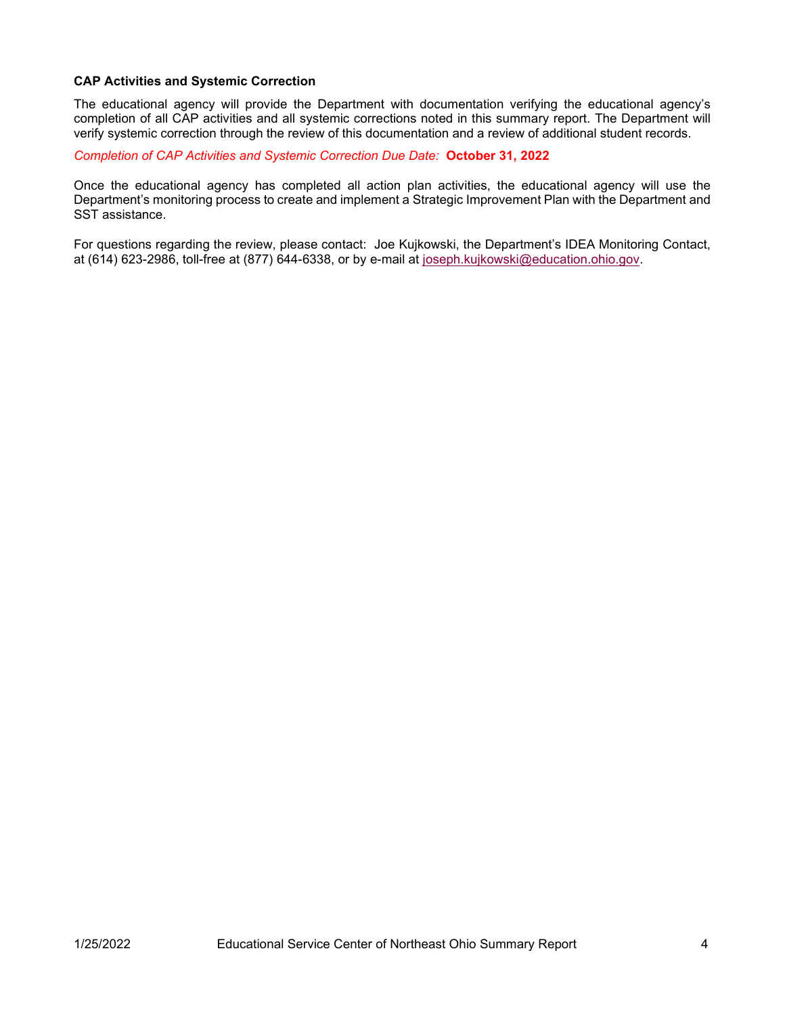# **CAP Activities and Systemic Correction**

The educational agency will provide the Department with documentation verifying the educational agency's completion of all CAP activities and all systemic corrections noted in this summary report. The Department will verify systemic correction through the review of this documentation and a review of additional student records.

*Completion of CAP Activities and Systemic Correction Due Date:* **October 31, 2022**

Once the educational agency has completed all action plan activities, the educational agency will use the Department's monitoring process to create and implement a Strategic Improvement Plan with the Department and SST assistance.

For questions regarding the review, please contact: Joe Kujkowski, the Department's IDEA Monitoring Contact, at (614) 623-2986, toll-free at (877) 644-6338, or by e-mail at [joseph.kujkowski@education.ohio.gov.](mailto:joseph.kujkowski@education.ohio.gov)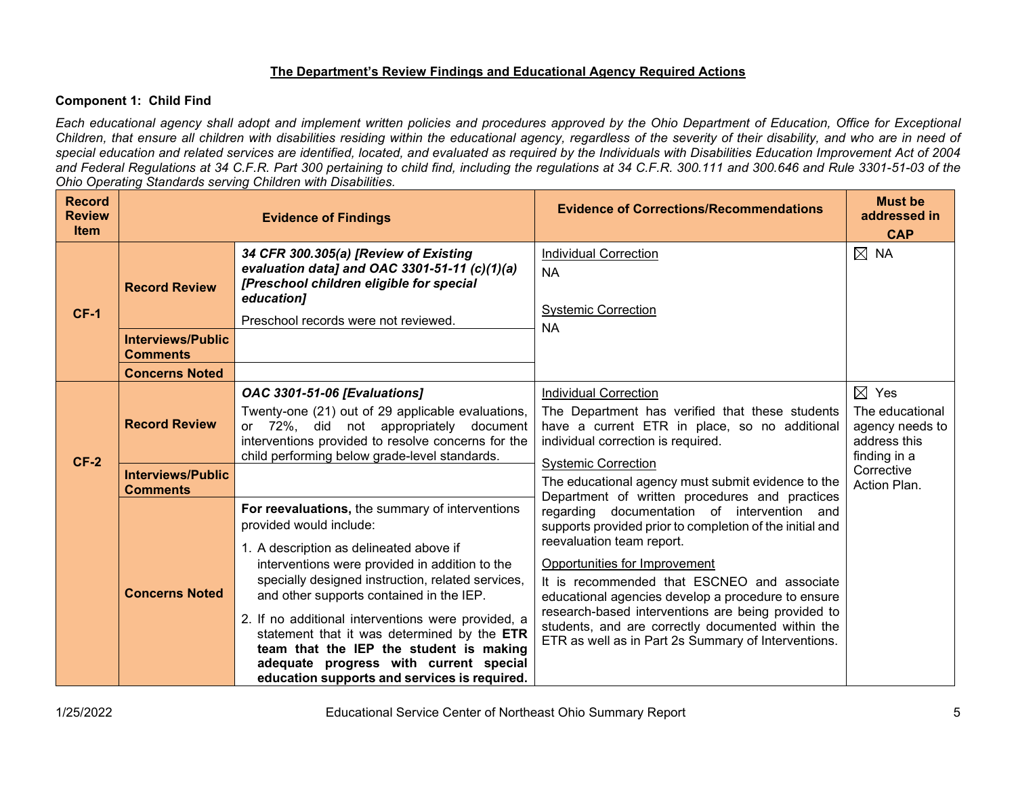# **The Department's Review Findings and Educational Agency Required Actions**

# **Component 1: Child Find**

*Each educational agency shall adopt and implement written policies and procedures approved by the Ohio Department of Education, Office for Exceptional Children, that ensure all children with disabilities residing within the educational agency, regardless of the severity of their disability, and who are in need of special education and related services are identified, located, and evaluated as required by the Individuals with Disabilities Education Improvement Act of 2004 and Federal Regulations at 34 C.F.R. Part 300 pertaining to child find, including the regulations at 34 C.F.R. 300.111 and 300.646 and Rule 3301-51-03 of the Ohio Operating Standards serving Children with Disabilities.* 

| <b>Record</b><br><b>Review</b><br><b>Item</b> |                                                  | <b>Evidence of Findings</b>                                                                                                                                                                                                                                                                                                             | <b>Evidence of Corrections/Recommendations</b>                                                                                                                                                                                                                      | <b>Must be</b><br>addressed in<br><b>CAP</b>                       |
|-----------------------------------------------|--------------------------------------------------|-----------------------------------------------------------------------------------------------------------------------------------------------------------------------------------------------------------------------------------------------------------------------------------------------------------------------------------------|---------------------------------------------------------------------------------------------------------------------------------------------------------------------------------------------------------------------------------------------------------------------|--------------------------------------------------------------------|
| <b>CF-1</b>                                   | <b>Record Review</b><br><b>Interviews/Public</b> | 34 CFR 300.305(a) [Review of Existing<br>evaluation data] and OAC 3301-51-11 (c)(1)(a)<br>[Preschool children eligible for special<br>education]<br>Preschool records were not reviewed.                                                                                                                                                | <b>Individual Correction</b><br><b>NA</b><br><b>Systemic Correction</b><br><b>NA</b>                                                                                                                                                                                | $\boxtimes$ NA                                                     |
|                                               | <b>Comments</b>                                  |                                                                                                                                                                                                                                                                                                                                         |                                                                                                                                                                                                                                                                     |                                                                    |
|                                               | <b>Concerns Noted</b>                            | <b>OAC 3301-51-06 [Evaluations]</b>                                                                                                                                                                                                                                                                                                     | <b>Individual Correction</b>                                                                                                                                                                                                                                        | $\boxtimes$ Yes                                                    |
| $CF-2$                                        | <b>Record Review</b>                             | Twenty-one (21) out of 29 applicable evaluations,<br>or 72%, did not appropriately document<br>interventions provided to resolve concerns for the<br>child performing below grade-level standards.                                                                                                                                      | The Department has verified that these students<br>have a current ETR in place, so no additional<br>individual correction is required.<br><b>Systemic Correction</b>                                                                                                | The educational<br>agency needs to<br>address this<br>finding in a |
|                                               | <b>Interviews/Public</b><br><b>Comments</b>      |                                                                                                                                                                                                                                                                                                                                         | The educational agency must submit evidence to the                                                                                                                                                                                                                  | Corrective<br>Action Plan.                                         |
|                                               |                                                  | For reevaluations, the summary of interventions<br>provided would include:<br>1. A description as delineated above if<br>interventions were provided in addition to the                                                                                                                                                                 | Department of written procedures and practices<br>regarding documentation of intervention and<br>supports provided prior to completion of the initial and<br>reevaluation team report.<br>Opportunities for Improvement                                             |                                                                    |
|                                               | <b>Concerns Noted</b>                            | specially designed instruction, related services,<br>and other supports contained in the IEP.<br>2. If no additional interventions were provided, a<br>statement that it was determined by the ETR<br>team that the IEP the student is making<br>adequate progress with current special<br>education supports and services is required. | It is recommended that ESCNEO and associate<br>educational agencies develop a procedure to ensure<br>research-based interventions are being provided to<br>students, and are correctly documented within the<br>ETR as well as in Part 2s Summary of Interventions. |                                                                    |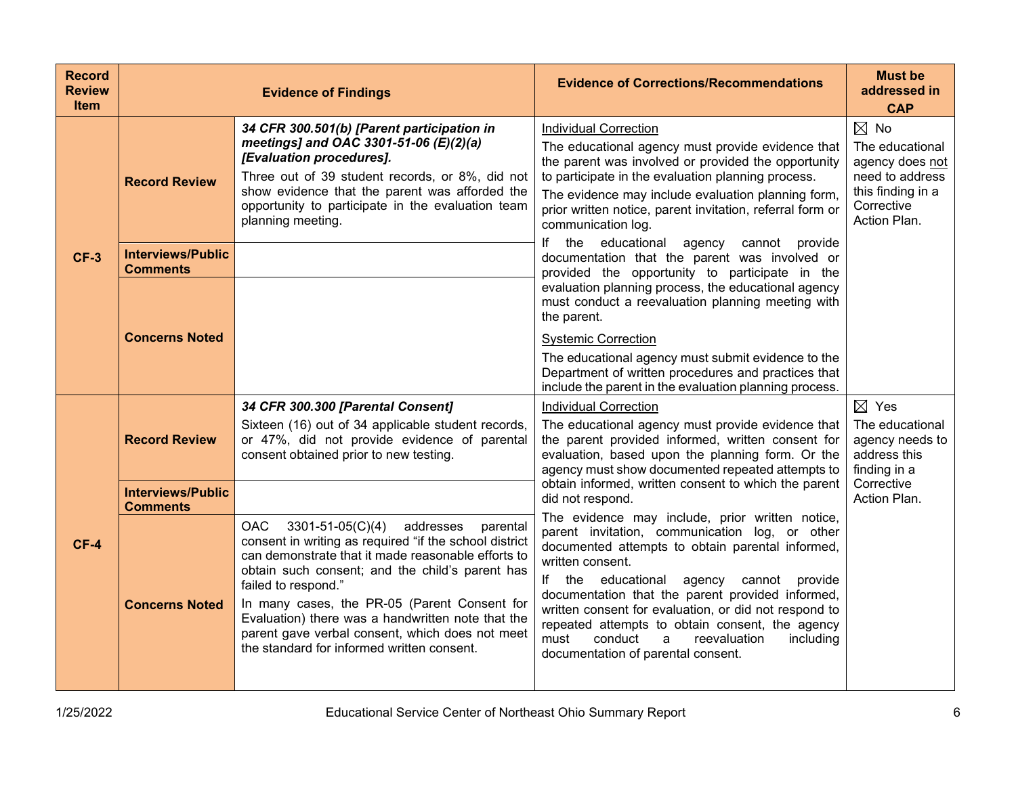| <b>Record</b><br><b>Review</b><br><b>Item</b> |                                             | <b>Evidence of Findings</b>                                                                                                                                                                                                                                                                                                                                                                                                                          | <b>Evidence of Corrections/Recommendations</b>                                                                                                                                                                                                                                                                                                                                                                                                                                         | <b>Must be</b><br>addressed in<br><b>CAP</b>                                                                               |
|-----------------------------------------------|---------------------------------------------|------------------------------------------------------------------------------------------------------------------------------------------------------------------------------------------------------------------------------------------------------------------------------------------------------------------------------------------------------------------------------------------------------------------------------------------------------|----------------------------------------------------------------------------------------------------------------------------------------------------------------------------------------------------------------------------------------------------------------------------------------------------------------------------------------------------------------------------------------------------------------------------------------------------------------------------------------|----------------------------------------------------------------------------------------------------------------------------|
| $CF-3$                                        | <b>Record Review</b>                        | 34 CFR 300.501(b) [Parent participation in<br>meetings] and OAC 3301-51-06 (E)(2)(a)<br>[Evaluation procedures].<br>Three out of 39 student records, or 8%, did not<br>show evidence that the parent was afforded the<br>opportunity to participate in the evaluation team<br>planning meeting.                                                                                                                                                      | <b>Individual Correction</b><br>The educational agency must provide evidence that<br>the parent was involved or provided the opportunity<br>to participate in the evaluation planning process.<br>The evidence may include evaluation planning form,<br>prior written notice, parent invitation, referral form or<br>communication log.                                                                                                                                                | $\boxtimes$ No<br>The educational<br>agency does not<br>need to address<br>this finding in a<br>Corrective<br>Action Plan. |
|                                               | <b>Interviews/Public</b><br><b>Comments</b> |                                                                                                                                                                                                                                                                                                                                                                                                                                                      | If the educational<br>agency cannot provide<br>documentation that the parent was involved or<br>provided the opportunity to participate in the<br>evaluation planning process, the educational agency<br>must conduct a reevaluation planning meeting with<br>the parent.                                                                                                                                                                                                              |                                                                                                                            |
|                                               | <b>Concerns Noted</b>                       |                                                                                                                                                                                                                                                                                                                                                                                                                                                      | <b>Systemic Correction</b><br>The educational agency must submit evidence to the<br>Department of written procedures and practices that<br>include the parent in the evaluation planning process.                                                                                                                                                                                                                                                                                      |                                                                                                                            |
|                                               | <b>Record Review</b>                        | 34 CFR 300.300 [Parental Consent]<br>Sixteen (16) out of 34 applicable student records,<br>or 47%, did not provide evidence of parental<br>consent obtained prior to new testing.                                                                                                                                                                                                                                                                    | <b>Individual Correction</b><br>The educational agency must provide evidence that<br>the parent provided informed, written consent for<br>evaluation, based upon the planning form. Or the<br>agency must show documented repeated attempts to                                                                                                                                                                                                                                         | $\boxtimes$ Yes<br>The educational<br>agency needs to<br>address this<br>finding in a                                      |
|                                               | <b>Interviews/Public</b><br><b>Comments</b> |                                                                                                                                                                                                                                                                                                                                                                                                                                                      | obtain informed, written consent to which the parent<br>did not respond.                                                                                                                                                                                                                                                                                                                                                                                                               | Corrective<br>Action Plan.                                                                                                 |
| $CF-4$                                        | <b>Concerns Noted</b>                       | 3301-51-05(C)(4) addresses<br><b>OAC</b><br>parental<br>consent in writing as required "if the school district<br>can demonstrate that it made reasonable efforts to<br>obtain such consent; and the child's parent has<br>failed to respond."<br>In many cases, the PR-05 (Parent Consent for<br>Evaluation) there was a handwritten note that the<br>parent gave verbal consent, which does not meet<br>the standard for informed written consent. | The evidence may include, prior written notice,<br>parent invitation, communication log, or other<br>documented attempts to obtain parental informed,<br>written consent.<br>If the educational<br>agency cannot<br>provide<br>documentation that the parent provided informed,<br>written consent for evaluation, or did not respond to<br>repeated attempts to obtain consent, the agency<br>conduct<br>must<br>reevaluation<br>including<br>a<br>documentation of parental consent. |                                                                                                                            |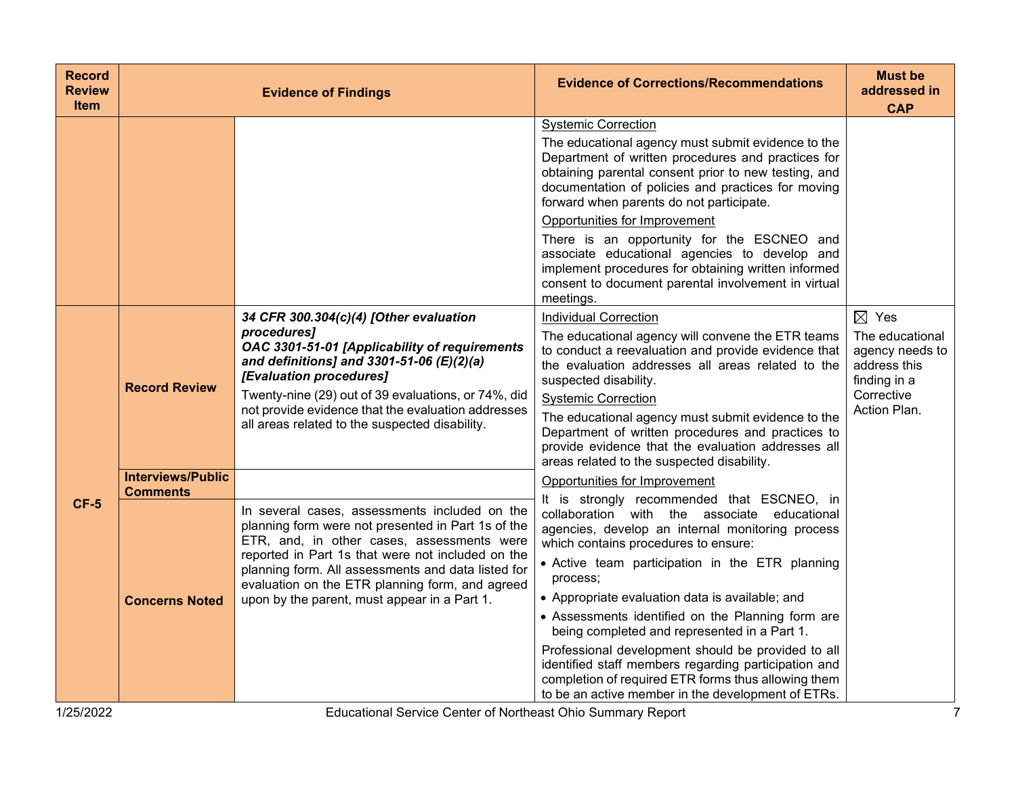| <b>Record</b><br><b>Review</b><br><b>Item</b> |                                                                      | <b>Evidence of Findings</b>                                                                                                                                                                                                                                                                                                                                     | <b>Evidence of Corrections/Recommendations</b>                                                                                                                                                                                                                                                                                                                                                                                                                                                                                                                                                                                                                            | <b>Must be</b><br>addressed in<br><b>CAP</b>                                                                        |
|-----------------------------------------------|----------------------------------------------------------------------|-----------------------------------------------------------------------------------------------------------------------------------------------------------------------------------------------------------------------------------------------------------------------------------------------------------------------------------------------------------------|---------------------------------------------------------------------------------------------------------------------------------------------------------------------------------------------------------------------------------------------------------------------------------------------------------------------------------------------------------------------------------------------------------------------------------------------------------------------------------------------------------------------------------------------------------------------------------------------------------------------------------------------------------------------------|---------------------------------------------------------------------------------------------------------------------|
|                                               |                                                                      |                                                                                                                                                                                                                                                                                                                                                                 | <b>Systemic Correction</b><br>The educational agency must submit evidence to the<br>Department of written procedures and practices for<br>obtaining parental consent prior to new testing, and<br>documentation of policies and practices for moving<br>forward when parents do not participate.<br>Opportunities for Improvement<br>There is an opportunity for the ESCNEO and<br>associate educational agencies to develop and<br>implement procedures for obtaining written informed<br>consent to document parental involvement in virtual<br>meetings.                                                                                                               |                                                                                                                     |
|                                               | <b>Record Review</b>                                                 | 34 CFR 300.304(c)(4) [Other evaluation<br>procedures]<br>OAC 3301-51-01 [Applicability of requirements<br>and definitions] and 3301-51-06 $(E)(2)(a)$<br>[Evaluation procedures]<br>Twenty-nine (29) out of 39 evaluations, or 74%, did<br>not provide evidence that the evaluation addresses<br>all areas related to the suspected disability.                 | <b>Individual Correction</b><br>The educational agency will convene the ETR teams<br>to conduct a reevaluation and provide evidence that<br>the evaluation addresses all areas related to the<br>suspected disability.<br><b>Systemic Correction</b><br>The educational agency must submit evidence to the<br>Department of written procedures and practices to<br>provide evidence that the evaluation addresses all<br>areas related to the suspected disability.                                                                                                                                                                                                       | $\boxtimes$ Yes<br>The educational<br>agency needs to<br>address this<br>finding in a<br>Corrective<br>Action Plan. |
| $CF-5$                                        | <b>Interviews/Public</b><br><b>Comments</b><br><b>Concerns Noted</b> | In several cases, assessments included on the<br>planning form were not presented in Part 1s of the<br>ETR, and, in other cases, assessments were<br>reported in Part 1s that were not included on the<br>planning form. All assessments and data listed for<br>evaluation on the ETR planning form, and agreed<br>upon by the parent, must appear in a Part 1. | Opportunities for Improvement<br>It is strongly recommended that ESCNEO, in<br>collaboration with the associate educational<br>agencies, develop an internal monitoring process<br>which contains procedures to ensure:<br>• Active team participation in the ETR planning<br>process:<br>• Appropriate evaluation data is available; and<br>• Assessments identified on the Planning form are<br>being completed and represented in a Part 1.<br>Professional development should be provided to all<br>identified staff members regarding participation and<br>completion of required ETR forms thus allowing them<br>to be an active member in the development of ETRs. |                                                                                                                     |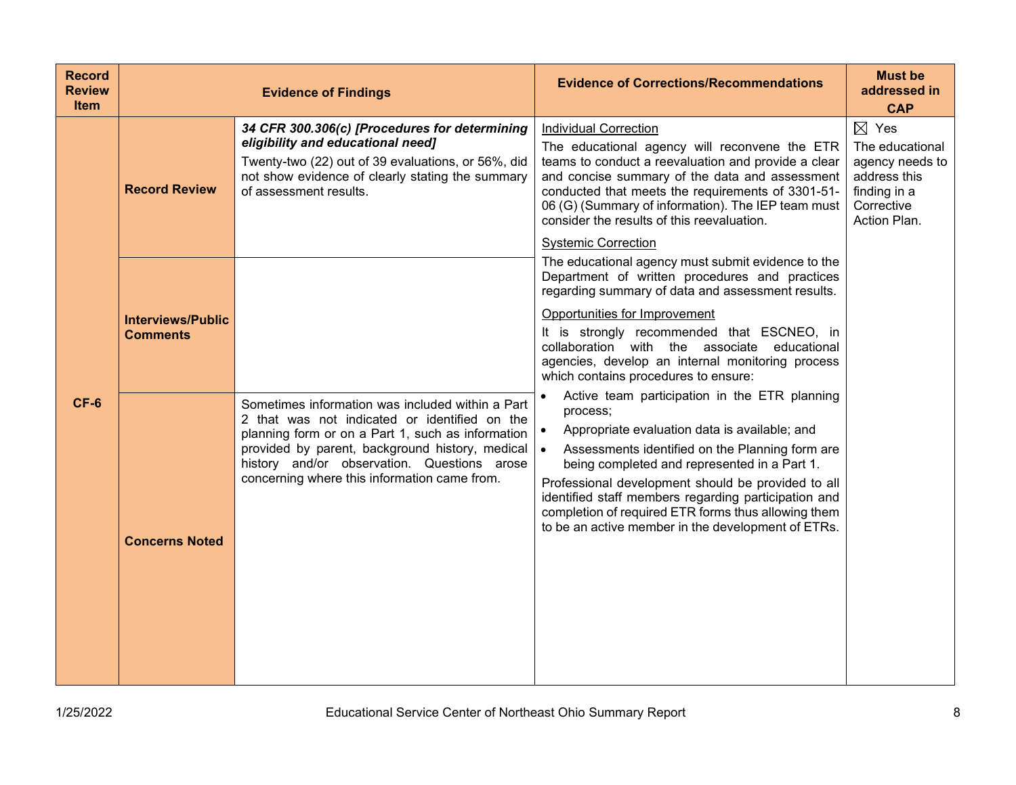| <b>Record</b><br><b>Review</b><br><b>Item</b> |                                             | <b>Evidence of Findings</b>                                                                                                                                                                                                                                                                                        | <b>Evidence of Corrections/Recommendations</b>                                                                                                                                                                                                                                                                                                                                                                                                                     | <b>Must be</b><br>addressed in<br><b>CAP</b>                                                                        |
|-----------------------------------------------|---------------------------------------------|--------------------------------------------------------------------------------------------------------------------------------------------------------------------------------------------------------------------------------------------------------------------------------------------------------------------|--------------------------------------------------------------------------------------------------------------------------------------------------------------------------------------------------------------------------------------------------------------------------------------------------------------------------------------------------------------------------------------------------------------------------------------------------------------------|---------------------------------------------------------------------------------------------------------------------|
|                                               | <b>Record Review</b>                        | 34 CFR 300.306(c) [Procedures for determining<br>eligibility and educational need]<br>Twenty-two (22) out of 39 evaluations, or 56%, did<br>not show evidence of clearly stating the summary<br>of assessment results.                                                                                             | <b>Individual Correction</b><br>The educational agency will reconvene the ETR<br>teams to conduct a reevaluation and provide a clear<br>and concise summary of the data and assessment<br>conducted that meets the requirements of 3301-51-<br>06 (G) (Summary of information). The IEP team must<br>consider the results of this reevaluation.<br><b>Systemic Correction</b>                                                                                      | $\boxtimes$ Yes<br>The educational<br>agency needs to<br>address this<br>finding in a<br>Corrective<br>Action Plan. |
|                                               | <b>Interviews/Public</b><br><b>Comments</b> |                                                                                                                                                                                                                                                                                                                    | The educational agency must submit evidence to the<br>Department of written procedures and practices<br>regarding summary of data and assessment results.<br>Opportunities for Improvement<br>It is strongly recommended that ESCNEO, in<br>collaboration with the associate<br>educational<br>agencies, develop an internal monitoring process<br>which contains procedures to ensure:                                                                            |                                                                                                                     |
| $CF-6$                                        | <b>Concerns Noted</b>                       | Sometimes information was included within a Part<br>2 that was not indicated or identified on the<br>planning form or on a Part 1, such as information<br>provided by parent, background history, medical $\bullet$<br>history and/or observation. Questions arose<br>concerning where this information came from. | Active team participation in the ETR planning<br>$\bullet$<br>process;<br>Appropriate evaluation data is available; and<br>$\bullet$<br>Assessments identified on the Planning form are<br>being completed and represented in a Part 1.<br>Professional development should be provided to all<br>identified staff members regarding participation and<br>completion of required ETR forms thus allowing them<br>to be an active member in the development of ETRs. |                                                                                                                     |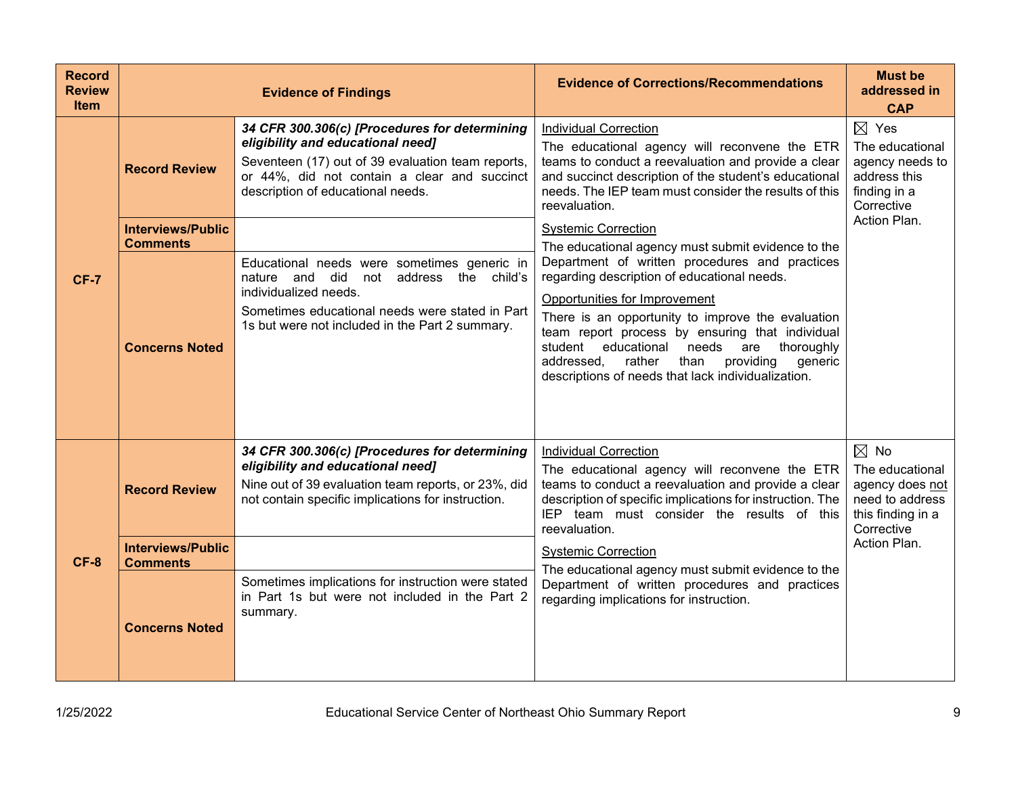| <b>Record</b><br><b>Review</b><br><b>Item</b> |                                                                     | <b>Evidence of Findings</b>                                                                                                                                                                                                                                                                                                                                                                                                                          | <b>Evidence of Corrections/Recommendations</b>                                                                                                                                                                                                                                                                                                                                                                                                                                                                                                                                                        | <b>Must be</b><br>addressed in<br><b>CAP</b>                                                                        |
|-----------------------------------------------|---------------------------------------------------------------------|------------------------------------------------------------------------------------------------------------------------------------------------------------------------------------------------------------------------------------------------------------------------------------------------------------------------------------------------------------------------------------------------------------------------------------------------------|-------------------------------------------------------------------------------------------------------------------------------------------------------------------------------------------------------------------------------------------------------------------------------------------------------------------------------------------------------------------------------------------------------------------------------------------------------------------------------------------------------------------------------------------------------------------------------------------------------|---------------------------------------------------------------------------------------------------------------------|
| <b>CF-7</b>                                   | <b>Record Review</b><br><b>Interviews/Public</b><br><b>Comments</b> | 34 CFR 300.306(c) [Procedures for determining<br>eligibility and educational need]<br>Seventeen (17) out of 39 evaluation team reports,<br>or 44%, did not contain a clear and succinct<br>description of educational needs.<br>Educational needs were sometimes generic in<br>nature and did not address the child's<br>individualized needs.<br>Sometimes educational needs were stated in Part<br>1s but were not included in the Part 2 summary. | <b>Individual Correction</b><br>The educational agency will reconvene the ETR<br>teams to conduct a reevaluation and provide a clear<br>and succinct description of the student's educational<br>needs. The IEP team must consider the results of this<br>reevaluation.<br><b>Systemic Correction</b><br>The educational agency must submit evidence to the<br>Department of written procedures and practices<br>regarding description of educational needs.<br>Opportunities for Improvement<br>There is an opportunity to improve the evaluation<br>team report process by ensuring that individual | $\boxtimes$ Yes<br>The educational<br>agency needs to<br>address this<br>finding in a<br>Corrective<br>Action Plan. |
|                                               | <b>Concerns Noted</b>                                               |                                                                                                                                                                                                                                                                                                                                                                                                                                                      | educational<br>thoroughly<br>student<br>needs<br>are<br>rather<br>providing<br>generic<br>addressed,<br>than<br>descriptions of needs that lack individualization.                                                                                                                                                                                                                                                                                                                                                                                                                                    |                                                                                                                     |
|                                               | <b>Record Review</b>                                                | 34 CFR 300.306(c) [Procedures for determining<br>eligibility and educational need]<br>Nine out of 39 evaluation team reports, or 23%, did<br>not contain specific implications for instruction.                                                                                                                                                                                                                                                      | <b>Individual Correction</b><br>The educational agency will reconvene the ETR<br>teams to conduct a reevaluation and provide a clear<br>description of specific implications for instruction. The<br>IEP team must consider the results of this<br>reevaluation.                                                                                                                                                                                                                                                                                                                                      | $\boxtimes$ No<br>The educational<br>agency does not<br>need to address<br>this finding in a<br>Corrective          |
| $CF-8$                                        | <b>Interviews/Public</b><br><b>Comments</b>                         |                                                                                                                                                                                                                                                                                                                                                                                                                                                      | <b>Systemic Correction</b><br>The educational agency must submit evidence to the                                                                                                                                                                                                                                                                                                                                                                                                                                                                                                                      | Action Plan.                                                                                                        |
|                                               | <b>Concerns Noted</b>                                               | Sometimes implications for instruction were stated<br>in Part 1s but were not included in the Part 2<br>summary.                                                                                                                                                                                                                                                                                                                                     | Department of written procedures and practices<br>regarding implications for instruction.                                                                                                                                                                                                                                                                                                                                                                                                                                                                                                             |                                                                                                                     |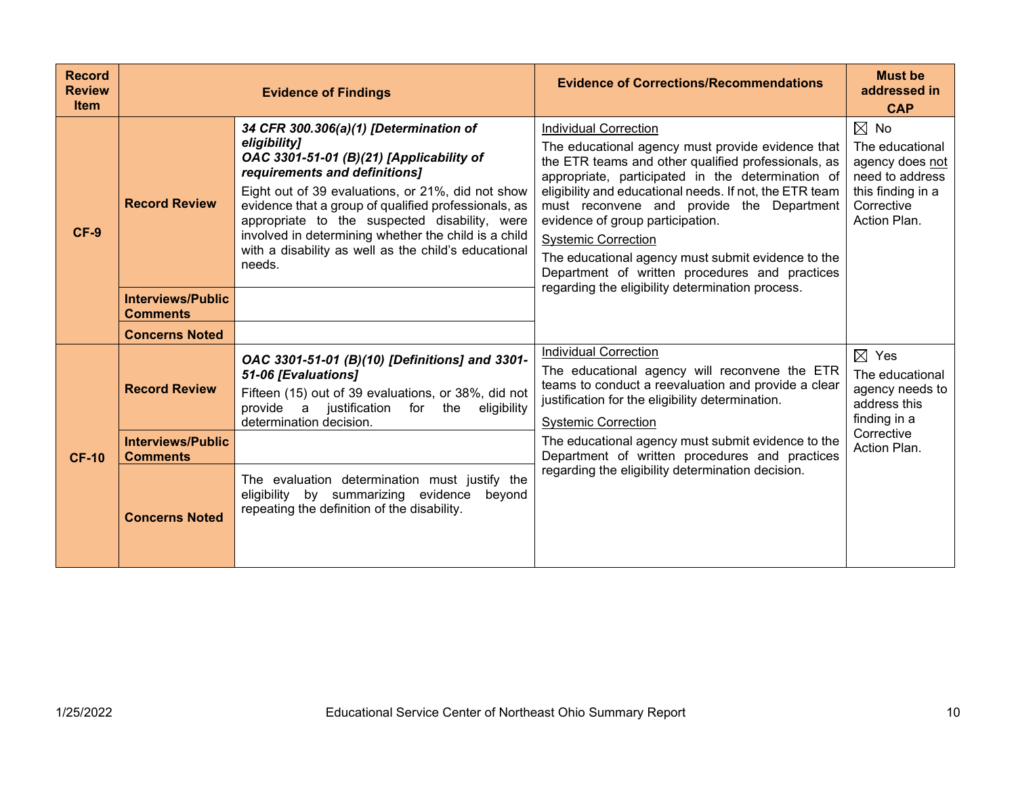| <b>Record</b><br><b>Review</b><br><b>Item</b> |                                                                      | <b>Evidence of Findings</b>                                                                                                                                                                                                                                                                                                                                                                                                 | <b>Evidence of Corrections/Recommendations</b>                                                                                                                                                                                                                                                                                                                                                                                                                                                                                      | <b>Must be</b><br>addressed in<br><b>CAP</b>                                                                               |
|-----------------------------------------------|----------------------------------------------------------------------|-----------------------------------------------------------------------------------------------------------------------------------------------------------------------------------------------------------------------------------------------------------------------------------------------------------------------------------------------------------------------------------------------------------------------------|-------------------------------------------------------------------------------------------------------------------------------------------------------------------------------------------------------------------------------------------------------------------------------------------------------------------------------------------------------------------------------------------------------------------------------------------------------------------------------------------------------------------------------------|----------------------------------------------------------------------------------------------------------------------------|
| $CF-9$                                        | <b>Record Review</b>                                                 | 34 CFR 300.306(a)(1) [Determination of<br>eligibility]<br>OAC 3301-51-01 (B)(21) [Applicability of<br>requirements and definitions]<br>Eight out of 39 evaluations, or 21%, did not show<br>evidence that a group of qualified professionals, as<br>appropriate to the suspected disability, were<br>involved in determining whether the child is a child<br>with a disability as well as the child's educational<br>needs. | <b>Individual Correction</b><br>The educational agency must provide evidence that<br>the ETR teams and other qualified professionals, as<br>appropriate, participated in the determination of<br>eligibility and educational needs. If not, the ETR team<br>must reconvene and provide the Department<br>evidence of group participation.<br><b>Systemic Correction</b><br>The educational agency must submit evidence to the<br>Department of written procedures and practices<br>regarding the eligibility determination process. | $\boxtimes$ No<br>The educational<br>agency does not<br>need to address<br>this finding in a<br>Corrective<br>Action Plan. |
|                                               | <b>Interviews/Public</b><br><b>Comments</b><br><b>Concerns Noted</b> |                                                                                                                                                                                                                                                                                                                                                                                                                             |                                                                                                                                                                                                                                                                                                                                                                                                                                                                                                                                     |                                                                                                                            |
| <b>CF-10</b>                                  | <b>Record Review</b>                                                 | OAC 3301-51-01 (B)(10) [Definitions] and 3301-<br>51-06 [Evaluations]<br>Fifteen (15) out of 39 evaluations, or 38%, did not<br>provide a justification for the<br>eligibility<br>determination decision.                                                                                                                                                                                                                   | <b>Individual Correction</b><br>The educational agency will reconvene the ETR<br>teams to conduct a reevaluation and provide a clear<br>justification for the eligibility determination.<br><b>Systemic Correction</b>                                                                                                                                                                                                                                                                                                              | $\boxtimes$ Yes<br>The educational<br>agency needs to<br>address this<br>finding in a                                      |
|                                               | <b>Interviews/Public</b><br><b>Comments</b>                          |                                                                                                                                                                                                                                                                                                                                                                                                                             | The educational agency must submit evidence to the<br>Department of written procedures and practices                                                                                                                                                                                                                                                                                                                                                                                                                                | Corrective<br>Action Plan.                                                                                                 |
|                                               | <b>Concerns Noted</b>                                                | The evaluation determination must justify the<br>eligibility by summarizing evidence<br>bevond<br>repeating the definition of the disability.                                                                                                                                                                                                                                                                               | regarding the eligibility determination decision.                                                                                                                                                                                                                                                                                                                                                                                                                                                                                   |                                                                                                                            |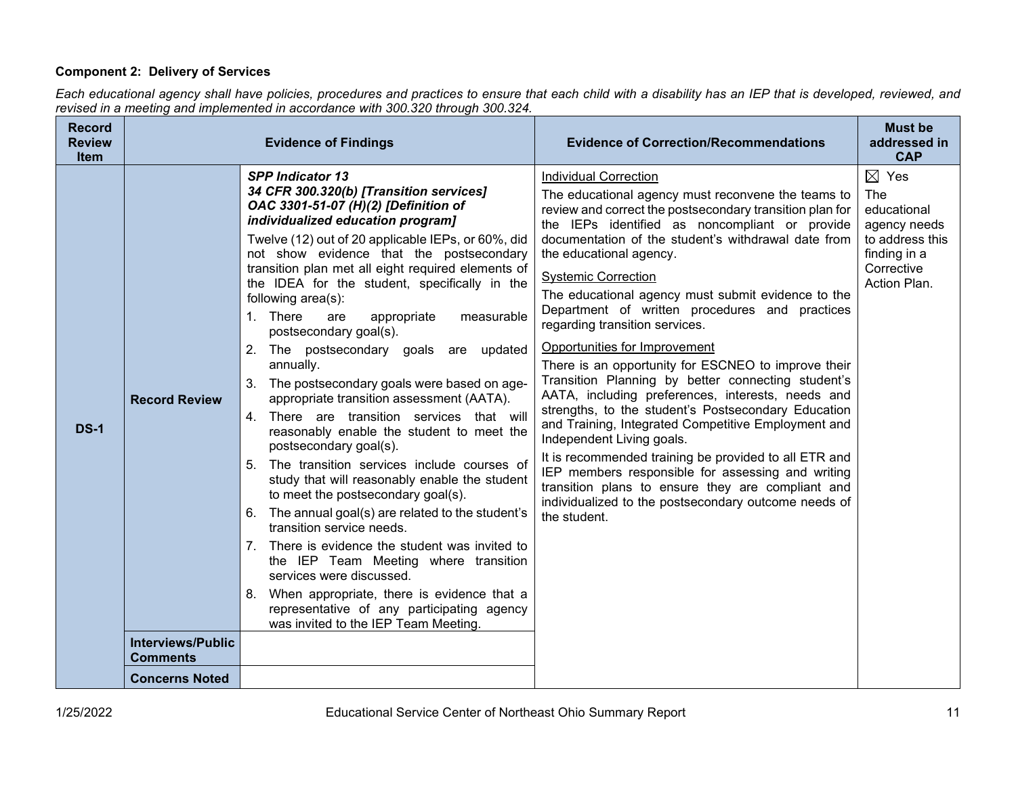# **Component 2: Delivery of Services**

*Each educational agency shall have policies, procedures and practices to ensure that each child with a disability has an IEP that is developed, reviewed, and revised in a meeting and implemented in accordance with 300.320 through 300.324.*

| <b>Record</b><br><b>Review</b><br><b>Item</b> |                                             | <b>Evidence of Findings</b>                                                                                                                                                                                                                                                                                                                                                                                                                                                                                                                                                                                                                                                                                                                                                                                                                                                                                                                                                                                                                                                                                                                                                                                                        | <b>Evidence of Correction/Recommendations</b>                                                                                                                                                                                                                                                                                                                                                                                                                                                                                                                                                                                                                                                                                                                                                                                                                                                                                                                                                                                                       | <b>Must be</b><br>addressed in<br><b>CAP</b>                                                                           |
|-----------------------------------------------|---------------------------------------------|------------------------------------------------------------------------------------------------------------------------------------------------------------------------------------------------------------------------------------------------------------------------------------------------------------------------------------------------------------------------------------------------------------------------------------------------------------------------------------------------------------------------------------------------------------------------------------------------------------------------------------------------------------------------------------------------------------------------------------------------------------------------------------------------------------------------------------------------------------------------------------------------------------------------------------------------------------------------------------------------------------------------------------------------------------------------------------------------------------------------------------------------------------------------------------------------------------------------------------|-----------------------------------------------------------------------------------------------------------------------------------------------------------------------------------------------------------------------------------------------------------------------------------------------------------------------------------------------------------------------------------------------------------------------------------------------------------------------------------------------------------------------------------------------------------------------------------------------------------------------------------------------------------------------------------------------------------------------------------------------------------------------------------------------------------------------------------------------------------------------------------------------------------------------------------------------------------------------------------------------------------------------------------------------------|------------------------------------------------------------------------------------------------------------------------|
| <b>DS-1</b>                                   | <b>Record Review</b>                        | <b>SPP Indicator 13</b><br>34 CFR 300.320(b) [Transition services]<br>OAC 3301-51-07 (H)(2) [Definition of<br>individualized education program]<br>Twelve (12) out of 20 applicable IEPs, or 60%, did<br>not show evidence that the postsecondary<br>transition plan met all eight required elements of<br>the IDEA for the student, specifically in the<br>following area(s):<br>1. There<br>appropriate<br>measurable<br>are<br>postsecondary goal(s).<br>2. The postsecondary goals are updated<br>annually.<br>3. The postsecondary goals were based on age-<br>appropriate transition assessment (AATA).<br>There are transition services that will<br>4.<br>reasonably enable the student to meet the<br>postsecondary goal(s).<br>5. The transition services include courses of<br>study that will reasonably enable the student<br>to meet the postsecondary goal(s).<br>6. The annual goal(s) are related to the student's<br>transition service needs.<br>7. There is evidence the student was invited to<br>the IEP Team Meeting where transition<br>services were discussed.<br>When appropriate, there is evidence that a<br>8.<br>representative of any participating agency<br>was invited to the IEP Team Meeting. | <b>Individual Correction</b><br>The educational agency must reconvene the teams to<br>review and correct the postsecondary transition plan for<br>the IEPs identified as noncompliant or provide<br>documentation of the student's withdrawal date from<br>the educational agency.<br><b>Systemic Correction</b><br>The educational agency must submit evidence to the<br>Department of written procedures and practices<br>regarding transition services.<br>Opportunities for Improvement<br>There is an opportunity for ESCNEO to improve their<br>Transition Planning by better connecting student's<br>AATA, including preferences, interests, needs and<br>strengths, to the student's Postsecondary Education<br>and Training, Integrated Competitive Employment and<br>Independent Living goals.<br>It is recommended training be provided to all ETR and<br>IEP members responsible for assessing and writing<br>transition plans to ensure they are compliant and<br>individualized to the postsecondary outcome needs of<br>the student. | $\boxtimes$ Yes<br>The<br>educational<br>agency needs<br>to address this<br>finding in a<br>Corrective<br>Action Plan. |
|                                               | <b>Interviews/Public</b><br><b>Comments</b> |                                                                                                                                                                                                                                                                                                                                                                                                                                                                                                                                                                                                                                                                                                                                                                                                                                                                                                                                                                                                                                                                                                                                                                                                                                    |                                                                                                                                                                                                                                                                                                                                                                                                                                                                                                                                                                                                                                                                                                                                                                                                                                                                                                                                                                                                                                                     |                                                                                                                        |
|                                               | <b>Concerns Noted</b>                       |                                                                                                                                                                                                                                                                                                                                                                                                                                                                                                                                                                                                                                                                                                                                                                                                                                                                                                                                                                                                                                                                                                                                                                                                                                    |                                                                                                                                                                                                                                                                                                                                                                                                                                                                                                                                                                                                                                                                                                                                                                                                                                                                                                                                                                                                                                                     |                                                                                                                        |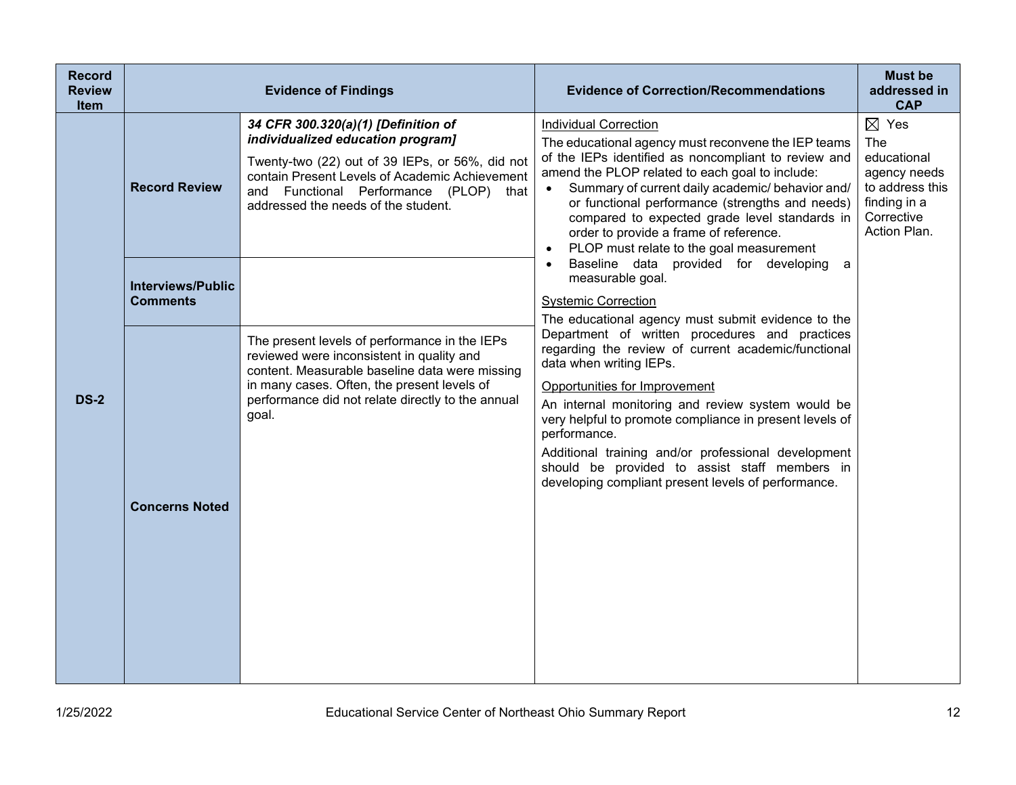| <b>Record</b><br><b>Review</b><br><b>Item</b> |                                             | <b>Evidence of Findings</b>                                                                                                                                                                                                                                    | <b>Evidence of Correction/Recommendations</b>                                                                                                                                                                                                                                                                                                                                                                                                                    | <b>Must be</b><br>addressed in<br><b>CAP</b>                                                                           |
|-----------------------------------------------|---------------------------------------------|----------------------------------------------------------------------------------------------------------------------------------------------------------------------------------------------------------------------------------------------------------------|------------------------------------------------------------------------------------------------------------------------------------------------------------------------------------------------------------------------------------------------------------------------------------------------------------------------------------------------------------------------------------------------------------------------------------------------------------------|------------------------------------------------------------------------------------------------------------------------|
|                                               | <b>Record Review</b>                        | 34 CFR 300.320(a)(1) [Definition of<br>individualized education program]<br>Twenty-two (22) out of 39 IEPs, or 56%, did not<br>contain Present Levels of Academic Achievement<br>and Functional Performance (PLOP) that<br>addressed the needs of the student. | <b>Individual Correction</b><br>The educational agency must reconvene the IEP teams<br>of the IEPs identified as noncompliant to review and<br>amend the PLOP related to each goal to include:<br>Summary of current daily academic/ behavior and/<br>or functional performance (strengths and needs)<br>compared to expected grade level standards in<br>order to provide a frame of reference.<br>PLOP must relate to the goal measurement                     | $\boxtimes$ Yes<br>The<br>educational<br>agency needs<br>to address this<br>finding in a<br>Corrective<br>Action Plan. |
|                                               | <b>Interviews/Public</b><br><b>Comments</b> |                                                                                                                                                                                                                                                                | Baseline data provided for developing a<br>measurable goal.<br><b>Systemic Correction</b><br>The educational agency must submit evidence to the                                                                                                                                                                                                                                                                                                                  |                                                                                                                        |
| <b>DS-2</b>                                   | <b>Concerns Noted</b>                       | The present levels of performance in the IEPs<br>reviewed were inconsistent in quality and<br>content. Measurable baseline data were missing<br>in many cases. Often, the present levels of<br>performance did not relate directly to the annual<br>goal.      | Department of written procedures and practices<br>regarding the review of current academic/functional<br>data when writing IEPs.<br>Opportunities for Improvement<br>An internal monitoring and review system would be<br>very helpful to promote compliance in present levels of<br>performance.<br>Additional training and/or professional development<br>should be provided to assist staff members in<br>developing compliant present levels of performance. |                                                                                                                        |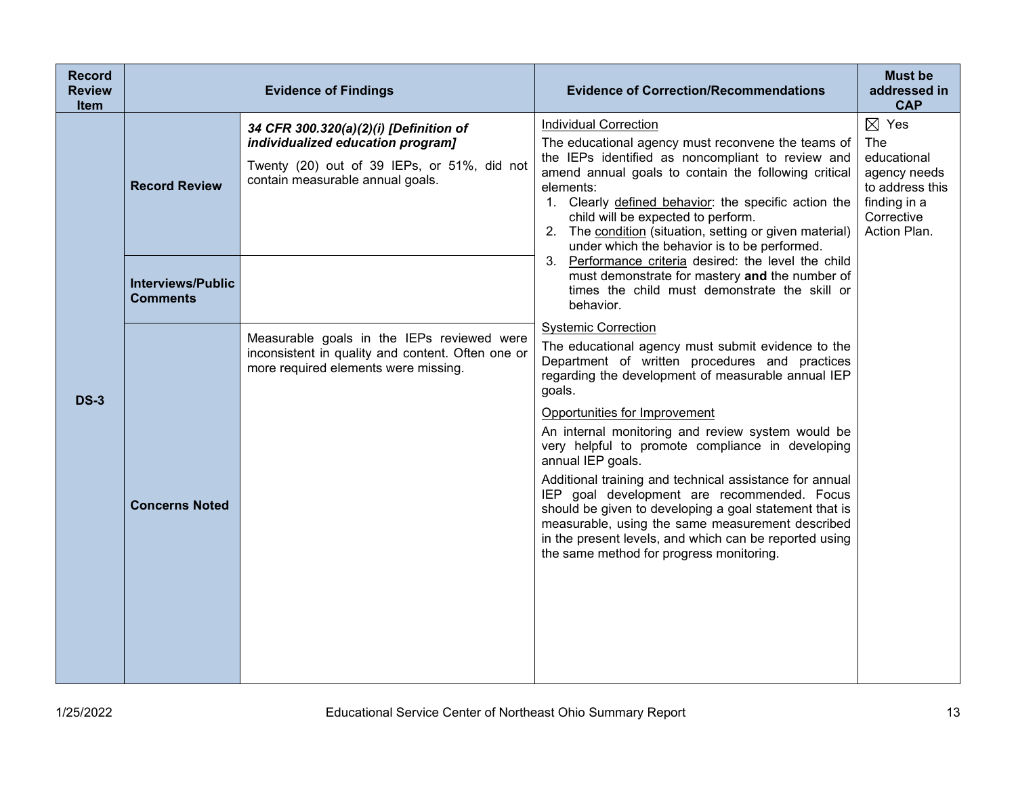| <b>Record</b><br><b>Review</b><br><b>Item</b> |                                             | <b>Evidence of Findings</b>                                                                                                                                    | <b>Evidence of Correction/Recommendations</b>                                                                                                                                                                                                                                                                                                                                                                                                                                                                                                                                                                                                                                                   | <b>Must be</b><br>addressed in<br><b>CAP</b>                                                                           |
|-----------------------------------------------|---------------------------------------------|----------------------------------------------------------------------------------------------------------------------------------------------------------------|-------------------------------------------------------------------------------------------------------------------------------------------------------------------------------------------------------------------------------------------------------------------------------------------------------------------------------------------------------------------------------------------------------------------------------------------------------------------------------------------------------------------------------------------------------------------------------------------------------------------------------------------------------------------------------------------------|------------------------------------------------------------------------------------------------------------------------|
|                                               | <b>Record Review</b>                        | 34 CFR 300.320(a)(2)(i) [Definition of<br>individualized education program]<br>Twenty (20) out of 39 IEPs, or 51%, did not<br>contain measurable annual goals. | <b>Individual Correction</b><br>The educational agency must reconvene the teams of<br>the IEPs identified as noncompliant to review and<br>amend annual goals to contain the following critical<br>elements:<br>1. Clearly defined behavior: the specific action the<br>child will be expected to perform.<br>2. The condition (situation, setting or given material)<br>under which the behavior is to be performed.                                                                                                                                                                                                                                                                           | $\boxtimes$ Yes<br>The<br>educational<br>agency needs<br>to address this<br>finding in a<br>Corrective<br>Action Plan. |
|                                               | <b>Interviews/Public</b><br><b>Comments</b> |                                                                                                                                                                | 3. Performance criteria desired: the level the child<br>must demonstrate for mastery and the number of<br>times the child must demonstrate the skill or<br>behavior.                                                                                                                                                                                                                                                                                                                                                                                                                                                                                                                            |                                                                                                                        |
| <b>DS-3</b>                                   | <b>Concerns Noted</b>                       | Measurable goals in the IEPs reviewed were<br>inconsistent in quality and content. Often one or<br>more required elements were missing.                        | <b>Systemic Correction</b><br>The educational agency must submit evidence to the<br>Department of written procedures and practices<br>regarding the development of measurable annual IEP<br>goals.<br>Opportunities for Improvement<br>An internal monitoring and review system would be<br>very helpful to promote compliance in developing<br>annual IEP goals.<br>Additional training and technical assistance for annual<br>IEP goal development are recommended. Focus<br>should be given to developing a goal statement that is<br>measurable, using the same measurement described<br>in the present levels, and which can be reported using<br>the same method for progress monitoring. |                                                                                                                        |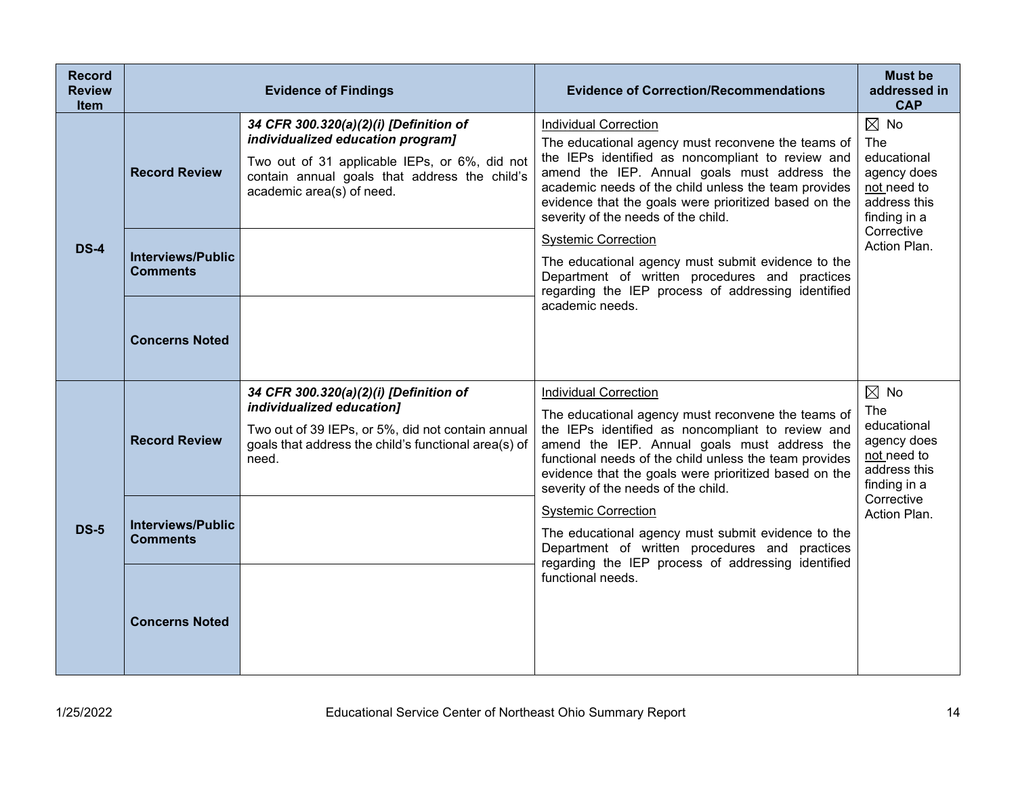| <b>Record</b><br><b>Review</b><br><b>Item</b> |                                                                     | <b>Evidence of Findings</b>                                                                                                                                                                                | <b>Evidence of Correction/Recommendations</b>                                                                                                                                                                                                                                                                                                                                                                                                                                                                                               | <b>Must be</b><br>addressed in<br><b>CAP</b>                                                                                     |
|-----------------------------------------------|---------------------------------------------------------------------|------------------------------------------------------------------------------------------------------------------------------------------------------------------------------------------------------------|---------------------------------------------------------------------------------------------------------------------------------------------------------------------------------------------------------------------------------------------------------------------------------------------------------------------------------------------------------------------------------------------------------------------------------------------------------------------------------------------------------------------------------------------|----------------------------------------------------------------------------------------------------------------------------------|
| <b>DS-4</b>                                   | <b>Record Review</b><br><b>Interviews/Public</b><br><b>Comments</b> | 34 CFR 300.320(a)(2)(i) [Definition of<br>individualized education program]<br>Two out of 31 applicable IEPs, or 6%, did not<br>contain annual goals that address the child's<br>academic area(s) of need. | <b>Individual Correction</b><br>The educational agency must reconvene the teams of<br>the IEPs identified as noncompliant to review and<br>amend the IEP. Annual goals must address the<br>academic needs of the child unless the team provides<br>evidence that the goals were prioritized based on the<br>severity of the needs of the child.<br><b>Systemic Correction</b><br>The educational agency must submit evidence to the<br>Department of written procedures and practices<br>regarding the IEP process of addressing identified | $\boxtimes$ No<br>The<br>educational<br>agency does<br>not need to<br>address this<br>finding in a<br>Corrective<br>Action Plan. |
|                                               | <b>Concerns Noted</b>                                               |                                                                                                                                                                                                            | academic needs.                                                                                                                                                                                                                                                                                                                                                                                                                                                                                                                             |                                                                                                                                  |
|                                               | <b>Record Review</b>                                                | 34 CFR 300.320(a)(2)(i) [Definition of<br>individualized education]<br>Two out of 39 IEPs, or 5%, did not contain annual<br>goals that address the child's functional area(s) of<br>need.                  | <b>Individual Correction</b><br>The educational agency must reconvene the teams of<br>the IEPs identified as noncompliant to review and<br>amend the IEP. Annual goals must address the<br>functional needs of the child unless the team provides<br>evidence that the goals were prioritized based on the<br>severity of the needs of the child.                                                                                                                                                                                           | $\boxtimes$ No<br>The<br>educational<br>agency does<br>not need to<br>address this<br>finding in a                               |
| <b>DS-5</b>                                   | <b>Interviews/Public</b><br><b>Comments</b>                         |                                                                                                                                                                                                            | <b>Systemic Correction</b><br>The educational agency must submit evidence to the<br>Department of written procedures and practices<br>regarding the IEP process of addressing identified                                                                                                                                                                                                                                                                                                                                                    | Corrective<br>Action Plan.                                                                                                       |
|                                               | <b>Concerns Noted</b>                                               |                                                                                                                                                                                                            | functional needs.                                                                                                                                                                                                                                                                                                                                                                                                                                                                                                                           |                                                                                                                                  |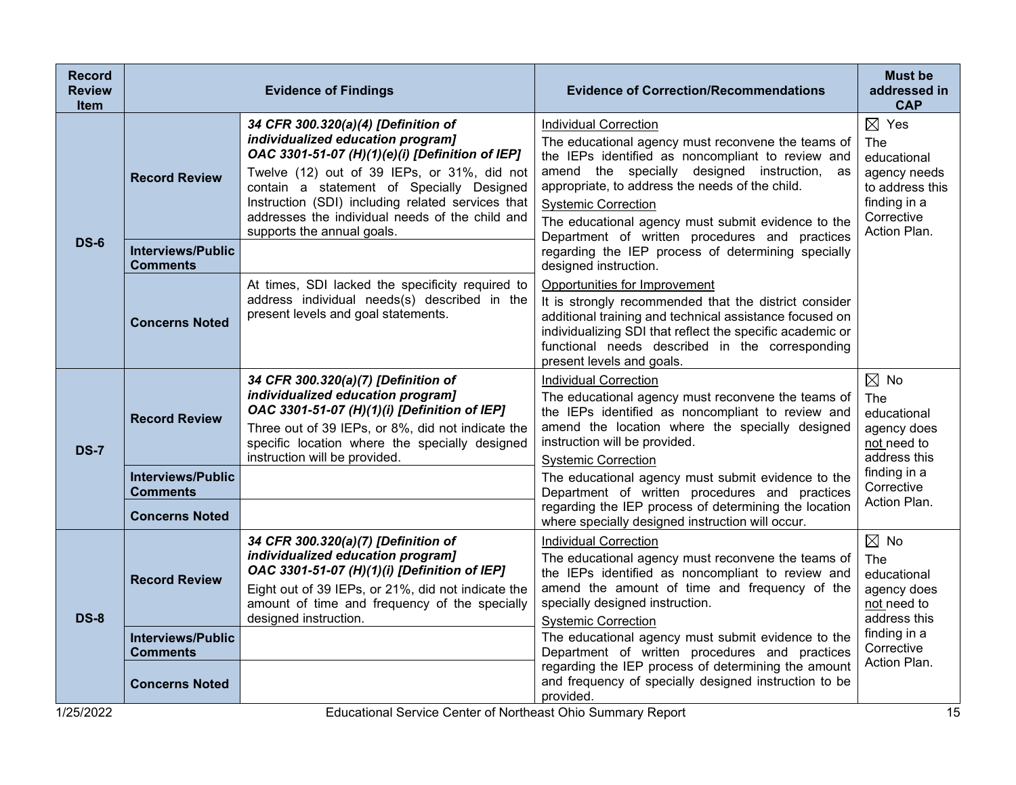| <b>Record</b><br><b>Review</b><br><b>Item</b> |                                                                      | <b>Evidence of Findings</b>                                                                                                                                                                                                                                                                                                                                   | <b>Evidence of Correction/Recommendations</b>                                                                                                                                                                                                                                                                                                                                    | <b>Must be</b><br>addressed in<br><b>CAP</b>                                                                           |
|-----------------------------------------------|----------------------------------------------------------------------|---------------------------------------------------------------------------------------------------------------------------------------------------------------------------------------------------------------------------------------------------------------------------------------------------------------------------------------------------------------|----------------------------------------------------------------------------------------------------------------------------------------------------------------------------------------------------------------------------------------------------------------------------------------------------------------------------------------------------------------------------------|------------------------------------------------------------------------------------------------------------------------|
|                                               | <b>Record Review</b>                                                 | 34 CFR 300.320(a)(4) [Definition of<br>individualized education program]<br>OAC 3301-51-07 (H)(1)(e)(i) [Definition of IEP]<br>Twelve (12) out of 39 IEPs, or 31%, did not<br>contain a statement of Specially Designed<br>Instruction (SDI) including related services that<br>addresses the individual needs of the child and<br>supports the annual goals. | <b>Individual Correction</b><br>The educational agency must reconvene the teams of<br>the IEPs identified as noncompliant to review and<br>amend the specially designed instruction, as<br>appropriate, to address the needs of the child.<br><b>Systemic Correction</b><br>The educational agency must submit evidence to the<br>Department of written procedures and practices | $\boxtimes$ Yes<br>The<br>educational<br>agency needs<br>to address this<br>finding in a<br>Corrective<br>Action Plan. |
| <b>DS-6</b>                                   | <b>Interviews/Public</b><br><b>Comments</b>                          |                                                                                                                                                                                                                                                                                                                                                               | regarding the IEP process of determining specially<br>designed instruction.                                                                                                                                                                                                                                                                                                      |                                                                                                                        |
|                                               | <b>Concerns Noted</b>                                                | At times, SDI lacked the specificity required to<br>address individual needs(s) described in the<br>present levels and goal statements.                                                                                                                                                                                                                       | Opportunities for Improvement<br>It is strongly recommended that the district consider<br>additional training and technical assistance focused on<br>individualizing SDI that reflect the specific academic or<br>functional needs described in the corresponding<br>present levels and goals.                                                                                   |                                                                                                                        |
| <b>DS-7</b>                                   | <b>Record Review</b>                                                 | 34 CFR 300.320(a)(7) [Definition of<br>individualized education program]<br>OAC 3301-51-07 (H)(1)(i) [Definition of IEP]<br>Three out of 39 IEPs, or 8%, did not indicate the<br>specific location where the specially designed<br>instruction will be provided.                                                                                              | <b>Individual Correction</b><br>The educational agency must reconvene the teams of<br>the IEPs identified as noncompliant to review and<br>amend the location where the specially designed<br>instruction will be provided.<br><b>Systemic Correction</b>                                                                                                                        | $\boxtimes$ No<br>The<br>educational<br>agency does<br>not need to<br>address this                                     |
|                                               | <b>Interviews/Public</b><br><b>Comments</b>                          |                                                                                                                                                                                                                                                                                                                                                               | The educational agency must submit evidence to the<br>Department of written procedures and practices<br>regarding the IEP process of determining the location                                                                                                                                                                                                                    | finding in a<br>Corrective<br>Action Plan.                                                                             |
| <b>DS-8</b>                                   | <b>Concerns Noted</b><br><b>Record Review</b>                        | 34 CFR 300.320(a)(7) [Definition of<br>individualized education program]<br>OAC 3301-51-07 (H)(1)(i) [Definition of IEP]<br>Eight out of 39 IEPs, or 21%, did not indicate the<br>amount of time and frequency of the specially<br>designed instruction.                                                                                                      | where specially designed instruction will occur.<br><b>Individual Correction</b><br>The educational agency must reconvene the teams of<br>the IEPs identified as noncompliant to review and<br>amend the amount of time and frequency of the<br>specially designed instruction.<br><b>Systemic Correction</b>                                                                    | $\boxtimes$ No<br><b>The</b><br>educational<br>agency does<br>not need to<br>address this                              |
|                                               | <b>Interviews/Public</b><br><b>Comments</b><br><b>Concerns Noted</b> |                                                                                                                                                                                                                                                                                                                                                               | The educational agency must submit evidence to the<br>Department of written procedures and practices<br>regarding the IEP process of determining the amount<br>and frequency of specially designed instruction to be<br>provided.                                                                                                                                                | finding in a<br>Corrective<br>Action Plan.                                                                             |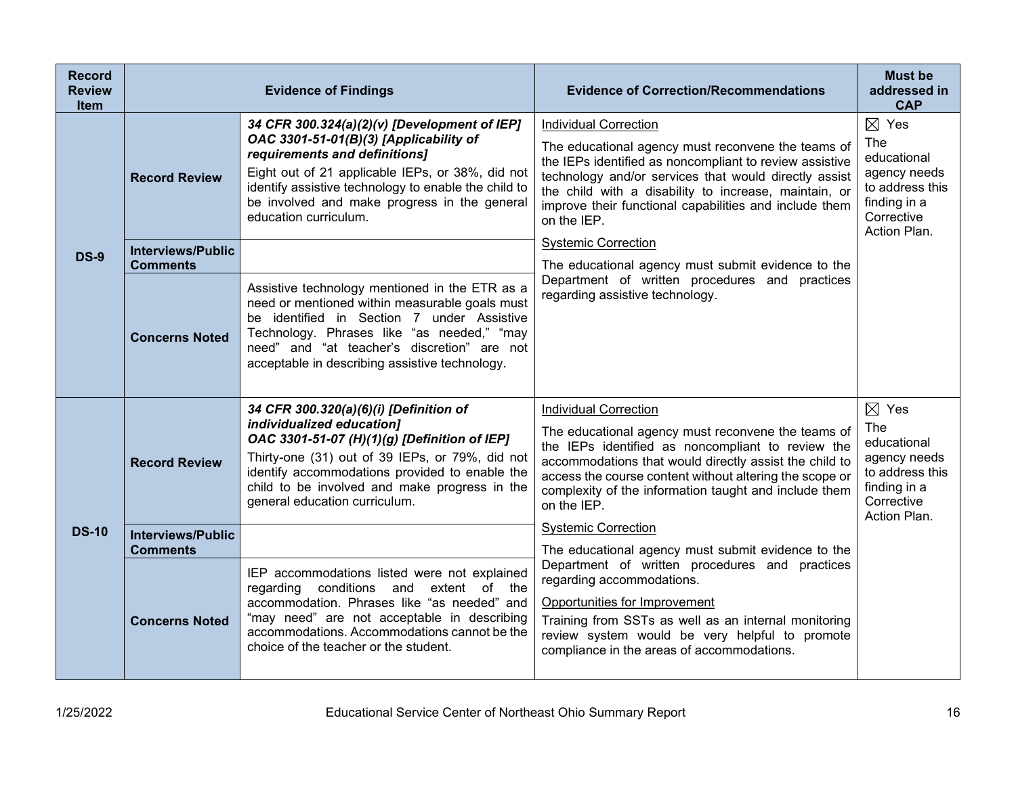| <b>Record</b><br><b>Review</b><br><b>Item</b> |                                             | <b>Evidence of Findings</b>                                                                                                                                                                                                                                                                                  | <b>Evidence of Correction/Recommendations</b>                                                                                                                                                                                                                                                                                            | <b>Must be</b><br>addressed in<br><b>CAP</b>                                                                           |
|-----------------------------------------------|---------------------------------------------|--------------------------------------------------------------------------------------------------------------------------------------------------------------------------------------------------------------------------------------------------------------------------------------------------------------|------------------------------------------------------------------------------------------------------------------------------------------------------------------------------------------------------------------------------------------------------------------------------------------------------------------------------------------|------------------------------------------------------------------------------------------------------------------------|
|                                               | <b>Record Review</b>                        | 34 CFR 300.324(a)(2)(v) [Development of IEP]<br>OAC 3301-51-01(B)(3) [Applicability of<br>requirements and definitions]<br>Eight out of 21 applicable IEPs, or 38%, did not<br>identify assistive technology to enable the child to<br>be involved and make progress in the general<br>education curriculum. | <b>Individual Correction</b><br>The educational agency must reconvene the teams of<br>the IEPs identified as noncompliant to review assistive<br>technology and/or services that would directly assist<br>the child with a disability to increase, maintain, or<br>improve their functional capabilities and include them<br>on the IEP. | $\boxtimes$ Yes<br>The<br>educational<br>agency needs<br>to address this<br>finding in a<br>Corrective<br>Action Plan. |
| <b>DS-9</b>                                   | <b>Interviews/Public</b><br><b>Comments</b> |                                                                                                                                                                                                                                                                                                              | <b>Systemic Correction</b><br>The educational agency must submit evidence to the                                                                                                                                                                                                                                                         |                                                                                                                        |
|                                               | <b>Concerns Noted</b>                       | Assistive technology mentioned in the ETR as a<br>need or mentioned within measurable goals must<br>be identified in Section 7 under Assistive<br>Technology. Phrases like "as needed," "may<br>need" and "at teacher's discretion" are not<br>acceptable in describing assistive technology.                | Department of written procedures and practices<br>regarding assistive technology.                                                                                                                                                                                                                                                        |                                                                                                                        |
|                                               | <b>Record Review</b>                        | 34 CFR 300.320(a)(6)(i) [Definition of<br>individualized education]<br>OAC 3301-51-07 (H)(1)(g) [Definition of IEP]<br>Thirty-one (31) out of 39 IEPs, or 79%, did not<br>identify accommodations provided to enable the<br>child to be involved and make progress in the<br>general education curriculum.   | <b>Individual Correction</b><br>The educational agency must reconvene the teams of<br>the IEPs identified as noncompliant to review the<br>accommodations that would directly assist the child to<br>access the course content without altering the scope or<br>complexity of the information taught and include them<br>on the IEP.     | $\boxtimes$ Yes<br>The<br>educational<br>agency needs<br>to address this<br>finding in a<br>Corrective<br>Action Plan. |
| <b>DS-10</b>                                  | <b>Interviews/Public</b><br><b>Comments</b> |                                                                                                                                                                                                                                                                                                              | <b>Systemic Correction</b><br>The educational agency must submit evidence to the                                                                                                                                                                                                                                                         |                                                                                                                        |
|                                               | <b>Concerns Noted</b>                       | IEP accommodations listed were not explained<br>regarding conditions and extent of the<br>accommodation. Phrases like "as needed" and<br>"may need" are not acceptable in describing<br>accommodations. Accommodations cannot be the<br>choice of the teacher or the student.                                | Department of written procedures and practices<br>regarding accommodations.<br>Opportunities for Improvement<br>Training from SSTs as well as an internal monitoring<br>review system would be very helpful to promote<br>compliance in the areas of accommodations.                                                                     |                                                                                                                        |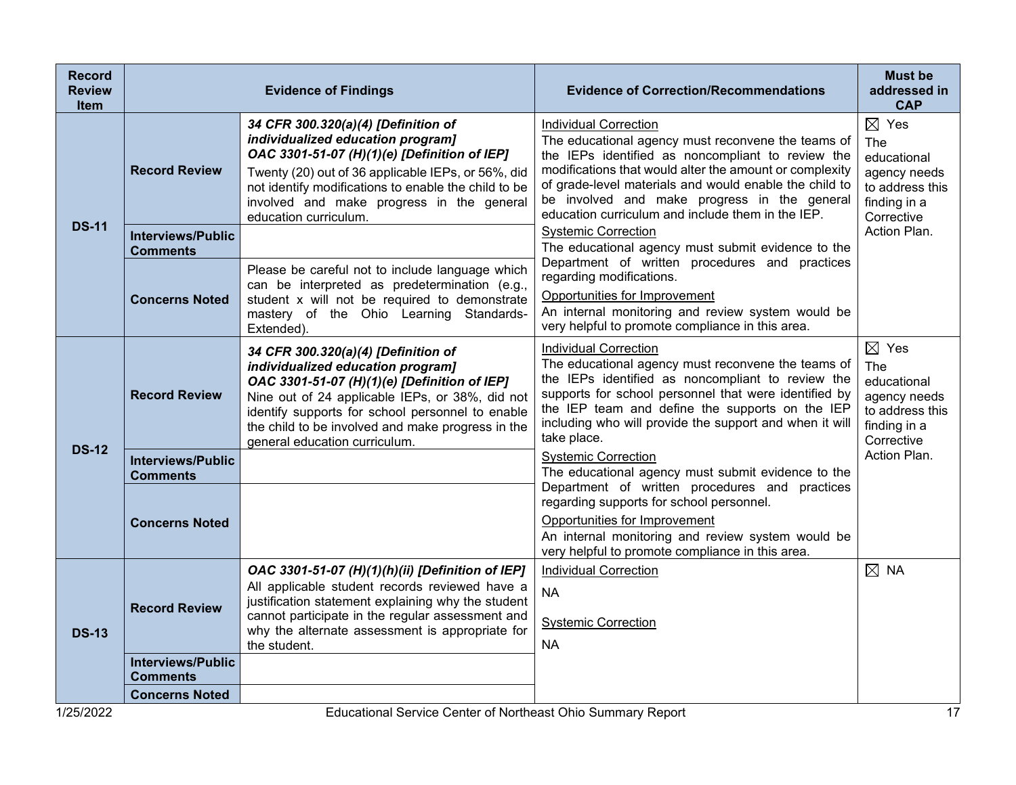| <b>Record</b><br><b>Review</b><br><b>Item</b> | <b>Evidence of Findings</b>                 |                                                                                                                                                                                                                                                                                                                       | <b>Evidence of Correction/Recommendations</b>                                                                                                                                                                                                                                                                                                                     | <b>Must be</b><br>addressed in<br><b>CAP</b>                                                           |
|-----------------------------------------------|---------------------------------------------|-----------------------------------------------------------------------------------------------------------------------------------------------------------------------------------------------------------------------------------------------------------------------------------------------------------------------|-------------------------------------------------------------------------------------------------------------------------------------------------------------------------------------------------------------------------------------------------------------------------------------------------------------------------------------------------------------------|--------------------------------------------------------------------------------------------------------|
| <b>DS-11</b>                                  | <b>Record Review</b>                        | 34 CFR 300.320(a)(4) [Definition of<br>individualized education program]<br>OAC 3301-51-07 (H)(1)(e) [Definition of IEP]<br>Twenty (20) out of 36 applicable IEPs, or 56%, did<br>not identify modifications to enable the child to be<br>involved and make progress in the general<br>education curriculum.          | <b>Individual Correction</b><br>The educational agency must reconvene the teams of<br>the IEPs identified as noncompliant to review the<br>modifications that would alter the amount or complexity<br>of grade-level materials and would enable the child to<br>be involved and make progress in the general<br>education curriculum and include them in the IEP. | $\boxtimes$ Yes<br>The<br>educational<br>agency needs<br>to address this<br>finding in a<br>Corrective |
|                                               | <b>Interviews/Public</b><br><b>Comments</b> |                                                                                                                                                                                                                                                                                                                       | <b>Systemic Correction</b><br>The educational agency must submit evidence to the                                                                                                                                                                                                                                                                                  | Action Plan.                                                                                           |
|                                               | <b>Concerns Noted</b>                       | Please be careful not to include language which<br>can be interpreted as predetermination (e.g.,<br>student x will not be required to demonstrate<br>mastery of the Ohio Learning Standards-<br>Extended).                                                                                                            | Department of written procedures and practices<br>regarding modifications.<br>Opportunities for Improvement<br>An internal monitoring and review system would be<br>very helpful to promote compliance in this area.                                                                                                                                              |                                                                                                        |
| <b>DS-12</b>                                  | <b>Record Review</b>                        | 34 CFR 300.320(a)(4) [Definition of<br>individualized education program]<br>OAC 3301-51-07 (H)(1)(e) [Definition of IEP]<br>Nine out of 24 applicable IEPs, or 38%, did not<br>identify supports for school personnel to enable<br>the child to be involved and make progress in the<br>general education curriculum. | <b>Individual Correction</b><br>The educational agency must reconvene the teams of<br>the IEPs identified as noncompliant to review the<br>supports for school personnel that were identified by<br>the IEP team and define the supports on the IEP<br>including who will provide the support and when it will<br>take place.                                     | $\boxtimes$ Yes<br>The<br>educational<br>agency needs<br>to address this<br>finding in a<br>Corrective |
|                                               | <b>Interviews/Public</b><br><b>Comments</b> |                                                                                                                                                                                                                                                                                                                       | <b>Systemic Correction</b><br>The educational agency must submit evidence to the                                                                                                                                                                                                                                                                                  | Action Plan.                                                                                           |
|                                               | <b>Concerns Noted</b>                       |                                                                                                                                                                                                                                                                                                                       | Department of written procedures and practices<br>regarding supports for school personnel.<br>Opportunities for Improvement<br>An internal monitoring and review system would be<br>very helpful to promote compliance in this area.                                                                                                                              |                                                                                                        |
| <b>DS-13</b>                                  | <b>Record Review</b>                        | OAC 3301-51-07 (H)(1)(h)(ii) [Definition of IEP]<br>All applicable student records reviewed have a<br>justification statement explaining why the student<br>cannot participate in the regular assessment and<br>why the alternate assessment is appropriate for<br>the student.                                       | <b>Individual Correction</b><br><b>NA</b><br><b>Systemic Correction</b><br><b>NA</b>                                                                                                                                                                                                                                                                              | $\boxtimes$ NA                                                                                         |
|                                               | <b>Interviews/Public</b><br>Comments        |                                                                                                                                                                                                                                                                                                                       |                                                                                                                                                                                                                                                                                                                                                                   |                                                                                                        |
| 105,000                                       | <b>Concerns Noted</b>                       | Educational Occurs Control of North and Ohio Curry                                                                                                                                                                                                                                                                    | $\ldots$ $\blacksquare$                                                                                                                                                                                                                                                                                                                                           |                                                                                                        |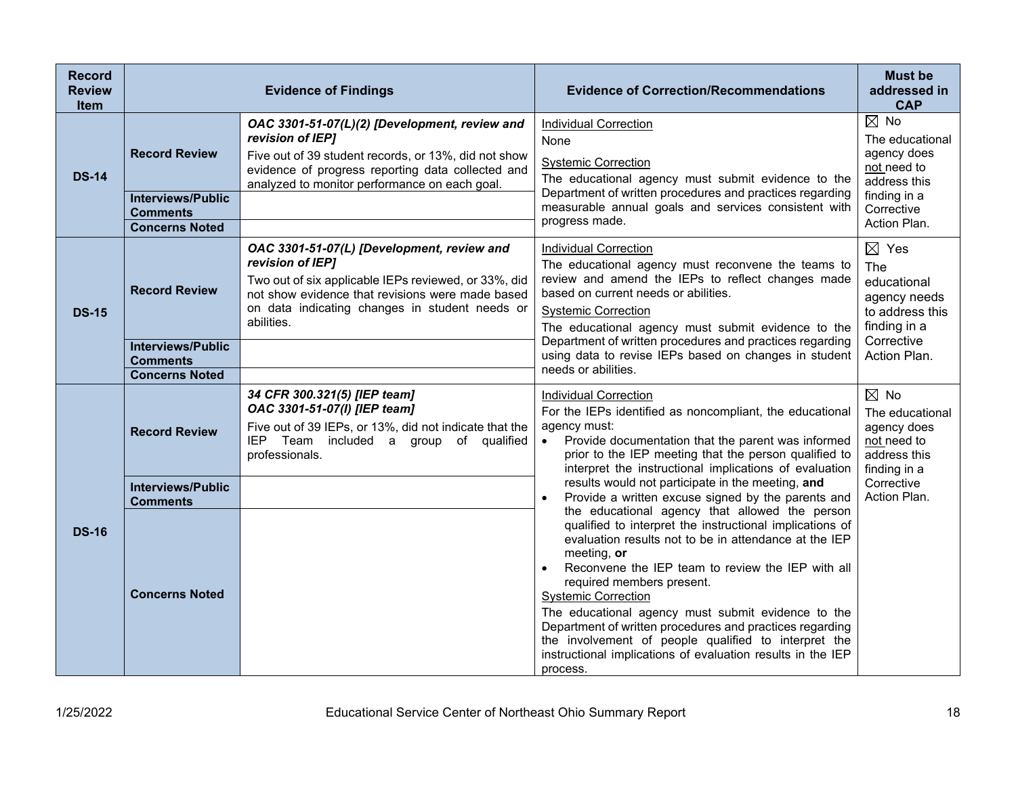| <b>Record</b><br><b>Review</b><br><b>Item</b> | <b>Evidence of Findings</b>                                                                  |                                                                                                                                                                                                                                            | <b>Evidence of Correction/Recommendations</b>                                                                                                                                                                                                                                                                                                                                                                                                                                                                                                                                                                                                                                                                                                                                                                                                                                                                                                                                                  | <b>Must be</b><br>addressed in<br><b>CAP</b>                                                                                  |
|-----------------------------------------------|----------------------------------------------------------------------------------------------|--------------------------------------------------------------------------------------------------------------------------------------------------------------------------------------------------------------------------------------------|------------------------------------------------------------------------------------------------------------------------------------------------------------------------------------------------------------------------------------------------------------------------------------------------------------------------------------------------------------------------------------------------------------------------------------------------------------------------------------------------------------------------------------------------------------------------------------------------------------------------------------------------------------------------------------------------------------------------------------------------------------------------------------------------------------------------------------------------------------------------------------------------------------------------------------------------------------------------------------------------|-------------------------------------------------------------------------------------------------------------------------------|
| <b>DS-14</b>                                  | <b>Record Review</b><br><b>Interviews/Public</b><br><b>Comments</b><br><b>Concerns Noted</b> | OAC 3301-51-07(L)(2) [Development, review and<br>revision of IEP]<br>Five out of 39 student records, or 13%, did not show<br>evidence of progress reporting data collected and<br>analyzed to monitor performance on each goal.            | <b>Individual Correction</b><br>None<br><b>Systemic Correction</b><br>The educational agency must submit evidence to the<br>Department of written procedures and practices regarding<br>measurable annual goals and services consistent with<br>progress made.                                                                                                                                                                                                                                                                                                                                                                                                                                                                                                                                                                                                                                                                                                                                 | $\boxtimes$ No<br>The educational<br>agency does<br>not need to<br>address this<br>finding in a<br>Corrective<br>Action Plan. |
| <b>DS-15</b>                                  | <b>Record Review</b><br><b>Interviews/Public</b><br><b>Comments</b><br><b>Concerns Noted</b> | OAC 3301-51-07(L) [Development, review and<br>revision of IEP]<br>Two out of six applicable IEPs reviewed, or 33%, did<br>not show evidence that revisions were made based<br>on data indicating changes in student needs or<br>abilities. | <b>Individual Correction</b><br>The educational agency must reconvene the teams to<br>review and amend the IEPs to reflect changes made<br>based on current needs or abilities.<br><b>Systemic Correction</b><br>The educational agency must submit evidence to the<br>Department of written procedures and practices regarding<br>using data to revise IEPs based on changes in student<br>needs or abilities.                                                                                                                                                                                                                                                                                                                                                                                                                                                                                                                                                                                | $\boxtimes$ Yes<br>The<br>educational<br>agency needs<br>to address this<br>finding in a<br>Corrective<br>Action Plan.        |
| <b>DS-16</b>                                  | <b>Record Review</b>                                                                         | 34 CFR 300.321(5) [IEP team]<br>OAC 3301-51-07(I) [IEP team]<br>Five out of 39 IEPs, or 13%, did not indicate that the<br>IEP Team included a group of qualified<br>professionals.                                                         | <b>Individual Correction</b><br>For the IEPs identified as noncompliant, the educational<br>agency must:<br>Provide documentation that the parent was informed<br>$\bullet$<br>prior to the IEP meeting that the person qualified to<br>interpret the instructional implications of evaluation<br>results would not participate in the meeting, and<br>Provide a written excuse signed by the parents and<br>$\bullet$<br>the educational agency that allowed the person<br>qualified to interpret the instructional implications of<br>evaluation results not to be in attendance at the IEP<br>meeting, or<br>Reconvene the IEP team to review the IEP with all<br>$\bullet$<br>required members present.<br><b>Systemic Correction</b><br>The educational agency must submit evidence to the<br>Department of written procedures and practices regarding<br>the involvement of people qualified to interpret the<br>instructional implications of evaluation results in the IEP<br>process. | $\boxtimes$ No<br>The educational<br>agency does<br>not need to<br>address this<br>finding in a<br>Corrective<br>Action Plan. |
|                                               | <b>Interviews/Public</b><br><b>Comments</b><br><b>Concerns Noted</b>                         |                                                                                                                                                                                                                                            |                                                                                                                                                                                                                                                                                                                                                                                                                                                                                                                                                                                                                                                                                                                                                                                                                                                                                                                                                                                                |                                                                                                                               |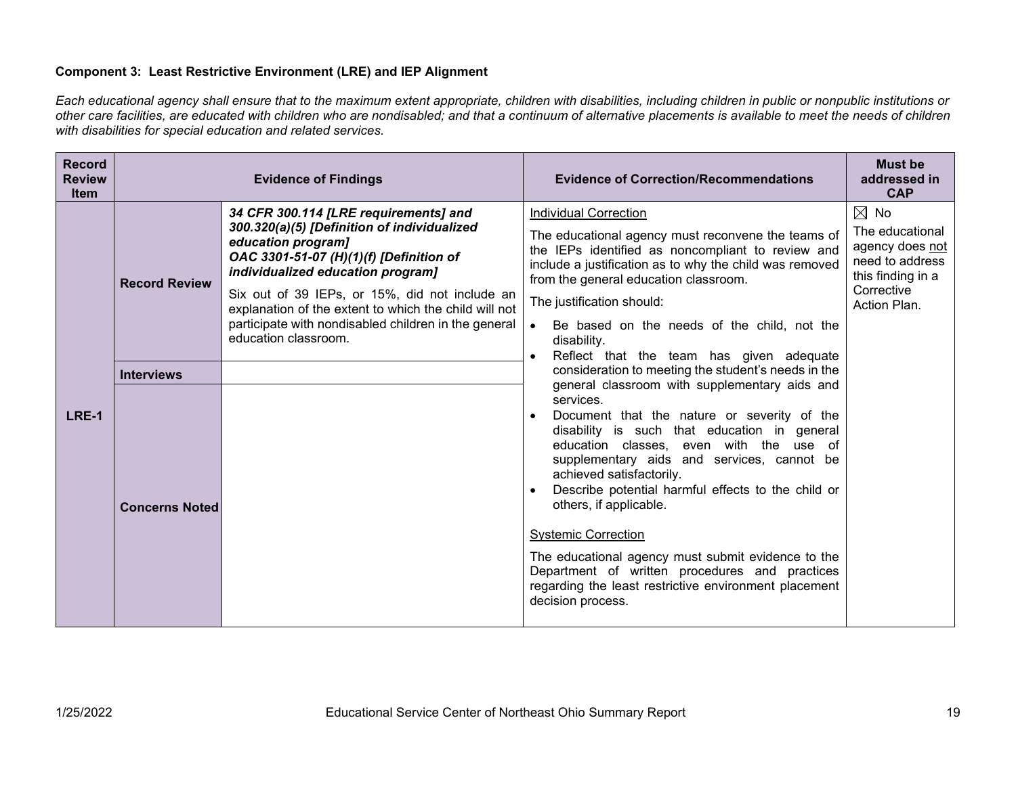# **Component 3: Least Restrictive Environment (LRE) and IEP Alignment**

*Each educational agency shall ensure that to the maximum extent appropriate, children with disabilities, including children in public or nonpublic institutions or other care facilities, are educated with children who are nondisabled; and that a continuum of alternative placements is available to meet the needs of children with disabilities for special education and related services.*

| <b>Record</b><br><b>Review</b><br>Item |                       | <b>Evidence of Findings</b>                                                                                                                                                                                                                                                                                                                                                           | <b>Evidence of Correction/Recommendations</b>                                                                                                                                                                                                                                                                                                                                                                                                                                                                                                                                      | <b>Must be</b><br>addressed in<br><b>CAP</b>                               |
|----------------------------------------|-----------------------|---------------------------------------------------------------------------------------------------------------------------------------------------------------------------------------------------------------------------------------------------------------------------------------------------------------------------------------------------------------------------------------|------------------------------------------------------------------------------------------------------------------------------------------------------------------------------------------------------------------------------------------------------------------------------------------------------------------------------------------------------------------------------------------------------------------------------------------------------------------------------------------------------------------------------------------------------------------------------------|----------------------------------------------------------------------------|
| LRE-1                                  |                       | 34 CFR 300.114 [LRE requirements] and<br>300.320(a)(5) [Definition of individualized<br>education program]<br>OAC 3301-51-07 (H)(1)(f) [Definition of<br>individualized education program]<br>Six out of 39 IEPs, or 15%, did not include an<br>explanation of the extent to which the child will not<br>participate with nondisabled children in the general<br>education classroom. | <b>Individual Correction</b>                                                                                                                                                                                                                                                                                                                                                                                                                                                                                                                                                       | $\boxtimes$ No                                                             |
|                                        | <b>Record Review</b>  |                                                                                                                                                                                                                                                                                                                                                                                       | The educational agency must reconvene the teams of<br>the IEPs identified as noncompliant to review and<br>include a justification as to why the child was removed<br>from the general education classroom.                                                                                                                                                                                                                                                                                                                                                                        | The educational<br>agency does not<br>need to address<br>this finding in a |
|                                        |                       |                                                                                                                                                                                                                                                                                                                                                                                       | The justification should:                                                                                                                                                                                                                                                                                                                                                                                                                                                                                                                                                          | Corrective<br>Action Plan.                                                 |
|                                        |                       |                                                                                                                                                                                                                                                                                                                                                                                       | Be based on the needs of the child, not the<br>disability.<br>Reflect that the team has given adequate                                                                                                                                                                                                                                                                                                                                                                                                                                                                             |                                                                            |
|                                        | <b>Interviews</b>     |                                                                                                                                                                                                                                                                                                                                                                                       | consideration to meeting the student's needs in the                                                                                                                                                                                                                                                                                                                                                                                                                                                                                                                                |                                                                            |
|                                        | <b>Concerns Noted</b> |                                                                                                                                                                                                                                                                                                                                                                                       | general classroom with supplementary aids and<br>services.<br>Document that the nature or severity of the<br>disability is such that education in general<br>education classes, even with the use of<br>supplementary aids and services, cannot be<br>achieved satisfactorily.<br>Describe potential harmful effects to the child or<br>others, if applicable.<br><b>Systemic Correction</b><br>The educational agency must submit evidence to the<br>Department of written procedures and practices<br>regarding the least restrictive environment placement<br>decision process. |                                                                            |